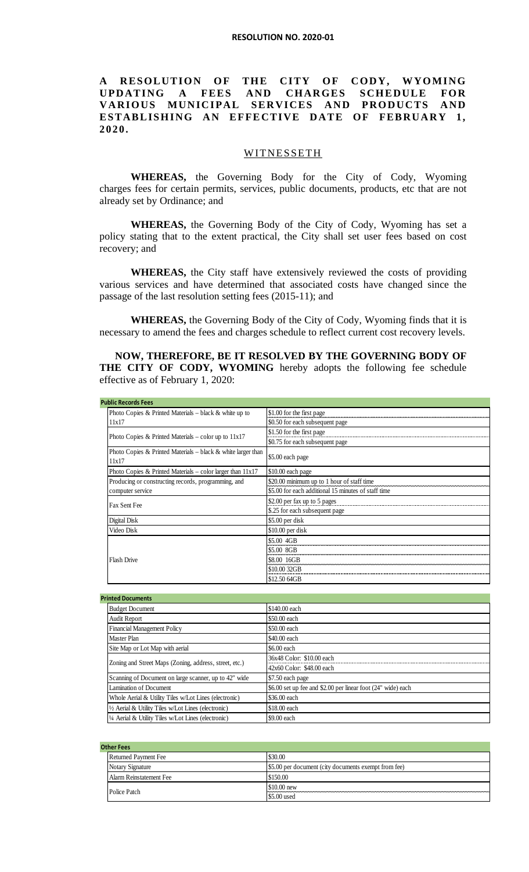## **A RESOLUTION OF THE CITY OF CODY, WYOMING UPDATING A FEES AND CHARGES SCHEDULE FOR VARIOUS MUNICIPAL SERVICES AND PRODUCTS AND ESTABLISHING AN EFFECTIVE DATE OF FEBRUARY 1, 2020.**

## **WITNESSETH**

**WHEREAS,** the Governing Body for the City of Cody, Wyoming charges fees for certain permits, services, public documents, products, etc that are not already set by Ordinance; and

**WHEREAS,** the Governing Body of the City of Cody, Wyoming has set a policy stating that to the extent practical, the City shall set user fees based on cost recovery; and

**WHEREAS,** the City staff have extensively reviewed the costs of providing various services and have determined that associated costs have changed since the passage of the last resolution setting fees (2015-11); and

**WHEREAS,** the Governing Body of the City of Cody, Wyoming finds that it is necessary to amend the fees and charges schedule to reflect current cost recovery levels.

**NOW, THEREFORE, BE IT RESOLVED BY THE GOVERNING BODY OF THE CITY OF CODY, WYOMING** hereby adopts the following fee schedule effective as of February 1, 2020:

|  | <b>Public Records Fees</b>                                              |                                                              |  |
|--|-------------------------------------------------------------------------|--------------------------------------------------------------|--|
|  | Photo Copies & Printed Materials - black & white up to                  | \$1.00 for the first page                                    |  |
|  | 11x17                                                                   | \$0.50 for each subsequent page                              |  |
|  | Photo Copies & Printed Materials – color up to $11x17$                  | \$1.50 for the first page<br>\$0.75 for each subsequent page |  |
|  | Photo Copies & Printed Materials $-$ black & white larger than<br>11x17 | \$5.00 each page                                             |  |
|  | Photo Copies & Printed Materials – color larger than $11x17$            | \$10.00 each page                                            |  |
|  | Producing or constructing records, programming, and                     | \$20.00 minimum up to 1 hour of staff time                   |  |
|  | computer service                                                        | \$5.00 for each additional 15 minutes of staff time          |  |
|  | Fax Sent Fee                                                            | \$2.00 per fax up to 5 pages                                 |  |
|  |                                                                         | \$.25 for each subsequent page                               |  |
|  | Digital Disk                                                            | \$5.00 per disk                                              |  |
|  | Video Disk                                                              | $$10.00$ per disk                                            |  |
|  | <b>Flash Drive</b>                                                      | \$5.00 4GB                                                   |  |
|  |                                                                         | \$5.00 8GB                                                   |  |
|  |                                                                         | \$8.00 16GB                                                  |  |
|  |                                                                         | \$10.00 32GB                                                 |  |
|  |                                                                         | \$12.50 64GB                                                 |  |

| <b>Printed Documents</b>                               |                                                              |  |
|--------------------------------------------------------|--------------------------------------------------------------|--|
| <b>Budget Document</b>                                 | \$140.00 each                                                |  |
| Audit Report                                           | \$50.00 each                                                 |  |
| <b>Financial Management Policy</b>                     | \$50.00 each                                                 |  |
| Master Plan                                            | \$40.00 each                                                 |  |
| Site Map or Lot Map with aerial                        | \$6.00 each                                                  |  |
| Zoning and Street Maps (Zoning, address, street, etc.) | 36x48 Color: \$10.00 each                                    |  |
|                                                        | 42x60 Color: \$48.00 each                                    |  |
| Scanning of Document on large scanner, up to 42" wide  | \$7.50 each page                                             |  |
| Lamination of Document                                 | \$6.00 set up fee and \$2.00 per linear foot (24" wide) each |  |
| Whole Aerial & Utility Tiles w/Lot Lines (electronic)  | \$36.00 each                                                 |  |
| 1/2 Aerial & Utility Tiles w/Lot Lines (electronic)    | \$18.00 each                                                 |  |
| 1/4 Aerial & Utility Tiles w/Lot Lines (electronic)    | \$9.00 each                                                  |  |

|  | Other Fees                  |                                                      |  |
|--|-----------------------------|------------------------------------------------------|--|
|  | <b>Returned Payment Fee</b> | \$30.00                                              |  |
|  | Notary Signature            | \$5.00 per document (city documents exempt from fee) |  |
|  | Alarm Reinstatement Fee     | \$150.00                                             |  |
|  | Police Patch                | $$10.00$ new                                         |  |
|  |                             | \$5.00 used                                          |  |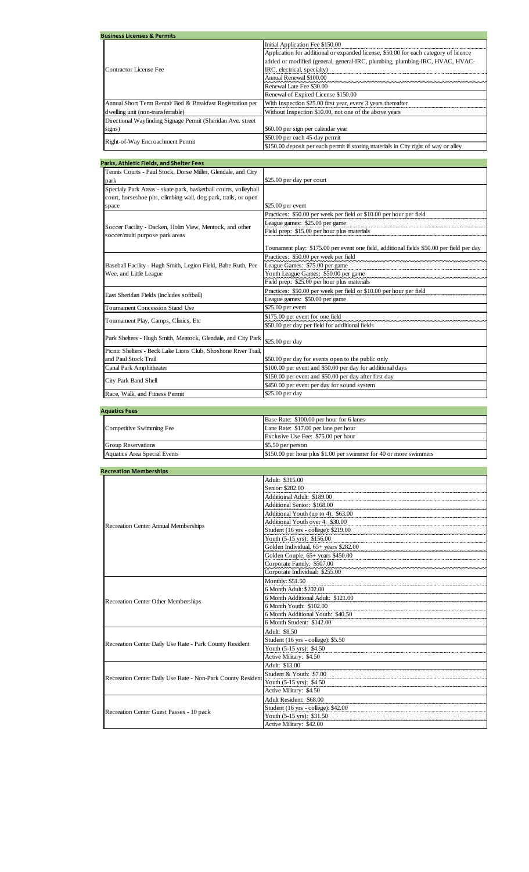| <b>Business Licenses &amp; Permits</b>                       |                                                                                      |  |
|--------------------------------------------------------------|--------------------------------------------------------------------------------------|--|
|                                                              | Initial Application Fee \$150.00                                                     |  |
|                                                              | Application for additional or expanded license, \$50.00 for each category of licence |  |
|                                                              | added or modified (general, general-IRC, plumbing, plumbing-IRC, HVAC, HVAC-         |  |
| Contractor License Fee                                       | IRC, electrical, specialty)                                                          |  |
|                                                              | Annual Renewal \$100.00                                                              |  |
|                                                              | Renewal Late Fee \$30.00                                                             |  |
|                                                              | Renewal of Expired License \$150.00                                                  |  |
| Annual Short Term Rental/ Bed & Breakfast Registration per   | With Inspection \$25.00 first year, every 3 years thereafter                         |  |
| dwelling unit (non-transferrable)                            | Without Inspection \$10.00, not one of the above years                               |  |
| Directional Wayfinding Signage Permit (Sheridan Ave. street) |                                                                                      |  |
| signs)                                                       | \$60.00 per sign per calendar year                                                   |  |
| Right-of-Way Encroachment Permit                             | \$50.00 per each 45-day permit                                                       |  |
|                                                              | \$150.00 deposit per each permit if storing materials in City right of way or alley  |  |

| Tennis Courts - Paul Stock, Dorse Miller, Glendale, and City<br>\$25.00 per day per court<br>park<br>Specialy Park Areas - skate park, basketball courts, volleyball<br>court, horseshoe pits, climbing wall, dog park, trails, or open<br>\$25.00 per event<br>space<br>Practices: \$50.00 per week per field or \$10.00 per hour per field<br>League games: \$25.00 per game<br>Soccer Facility - Dacken, Holm View, Mentock, and other<br>Field prep: \$15.00 per hour plus materials<br>soccer/multi purpose park areas<br>Tounament play: \$175.00 per event one field, additional fields \$50.00 per field per day<br>Practices: \$50.00 per week per field<br>Baseball Facility - Hugh Smith, Legion Field, Babe Ruth, Pee<br>League Games: \$75.00 per game<br>Youth League Games: \$50.00 per game<br>Wee, and Little League<br>Field prep: \$25.00 per hour plus materials<br>Practices: \$50.00 per week per field or \$10.00 per hour per field<br>East Sheridan Fields (includes softball)<br>League games: \$50.00 per game<br><b>Tournament Concession Stand Use</b><br>\$25.00 per event<br>\$175.00 per event for one field<br>Tournament Play, Camps, Clinics, Etc.<br>\$50.00 per day per field for additional fields<br>Park Shelters - Hugh Smith, Mentock, Glendale, and City Park<br>\$25.00 per day<br>Picnic Shelters - Beck Lake Lions Club, Shoshone River Trail,<br>and Paul Stock Trail<br>\$50.00 per day for events open to the public only<br>\$100.00 per event and \$50.00 per day for additional days<br>Canal Park Amphitheater<br>\$150.00 per event and \$50.00 per day after first day<br>City Park Band Shell<br>\$450.00 per event per day for sound system<br>\$25.00 per day | Parks, Athletic Fields, and Shelter Fees |  |  |
|-------------------------------------------------------------------------------------------------------------------------------------------------------------------------------------------------------------------------------------------------------------------------------------------------------------------------------------------------------------------------------------------------------------------------------------------------------------------------------------------------------------------------------------------------------------------------------------------------------------------------------------------------------------------------------------------------------------------------------------------------------------------------------------------------------------------------------------------------------------------------------------------------------------------------------------------------------------------------------------------------------------------------------------------------------------------------------------------------------------------------------------------------------------------------------------------------------------------------------------------------------------------------------------------------------------------------------------------------------------------------------------------------------------------------------------------------------------------------------------------------------------------------------------------------------------------------------------------------------------------------------------------------------------------------------------------------------------------------|------------------------------------------|--|--|
|                                                                                                                                                                                                                                                                                                                                                                                                                                                                                                                                                                                                                                                                                                                                                                                                                                                                                                                                                                                                                                                                                                                                                                                                                                                                                                                                                                                                                                                                                                                                                                                                                                                                                                                         |                                          |  |  |
|                                                                                                                                                                                                                                                                                                                                                                                                                                                                                                                                                                                                                                                                                                                                                                                                                                                                                                                                                                                                                                                                                                                                                                                                                                                                                                                                                                                                                                                                                                                                                                                                                                                                                                                         |                                          |  |  |
|                                                                                                                                                                                                                                                                                                                                                                                                                                                                                                                                                                                                                                                                                                                                                                                                                                                                                                                                                                                                                                                                                                                                                                                                                                                                                                                                                                                                                                                                                                                                                                                                                                                                                                                         |                                          |  |  |
|                                                                                                                                                                                                                                                                                                                                                                                                                                                                                                                                                                                                                                                                                                                                                                                                                                                                                                                                                                                                                                                                                                                                                                                                                                                                                                                                                                                                                                                                                                                                                                                                                                                                                                                         |                                          |  |  |
|                                                                                                                                                                                                                                                                                                                                                                                                                                                                                                                                                                                                                                                                                                                                                                                                                                                                                                                                                                                                                                                                                                                                                                                                                                                                                                                                                                                                                                                                                                                                                                                                                                                                                                                         |                                          |  |  |
|                                                                                                                                                                                                                                                                                                                                                                                                                                                                                                                                                                                                                                                                                                                                                                                                                                                                                                                                                                                                                                                                                                                                                                                                                                                                                                                                                                                                                                                                                                                                                                                                                                                                                                                         |                                          |  |  |
|                                                                                                                                                                                                                                                                                                                                                                                                                                                                                                                                                                                                                                                                                                                                                                                                                                                                                                                                                                                                                                                                                                                                                                                                                                                                                                                                                                                                                                                                                                                                                                                                                                                                                                                         |                                          |  |  |
|                                                                                                                                                                                                                                                                                                                                                                                                                                                                                                                                                                                                                                                                                                                                                                                                                                                                                                                                                                                                                                                                                                                                                                                                                                                                                                                                                                                                                                                                                                                                                                                                                                                                                                                         |                                          |  |  |
|                                                                                                                                                                                                                                                                                                                                                                                                                                                                                                                                                                                                                                                                                                                                                                                                                                                                                                                                                                                                                                                                                                                                                                                                                                                                                                                                                                                                                                                                                                                                                                                                                                                                                                                         |                                          |  |  |
|                                                                                                                                                                                                                                                                                                                                                                                                                                                                                                                                                                                                                                                                                                                                                                                                                                                                                                                                                                                                                                                                                                                                                                                                                                                                                                                                                                                                                                                                                                                                                                                                                                                                                                                         |                                          |  |  |
|                                                                                                                                                                                                                                                                                                                                                                                                                                                                                                                                                                                                                                                                                                                                                                                                                                                                                                                                                                                                                                                                                                                                                                                                                                                                                                                                                                                                                                                                                                                                                                                                                                                                                                                         |                                          |  |  |
|                                                                                                                                                                                                                                                                                                                                                                                                                                                                                                                                                                                                                                                                                                                                                                                                                                                                                                                                                                                                                                                                                                                                                                                                                                                                                                                                                                                                                                                                                                                                                                                                                                                                                                                         |                                          |  |  |
|                                                                                                                                                                                                                                                                                                                                                                                                                                                                                                                                                                                                                                                                                                                                                                                                                                                                                                                                                                                                                                                                                                                                                                                                                                                                                                                                                                                                                                                                                                                                                                                                                                                                                                                         |                                          |  |  |
|                                                                                                                                                                                                                                                                                                                                                                                                                                                                                                                                                                                                                                                                                                                                                                                                                                                                                                                                                                                                                                                                                                                                                                                                                                                                                                                                                                                                                                                                                                                                                                                                                                                                                                                         |                                          |  |  |
|                                                                                                                                                                                                                                                                                                                                                                                                                                                                                                                                                                                                                                                                                                                                                                                                                                                                                                                                                                                                                                                                                                                                                                                                                                                                                                                                                                                                                                                                                                                                                                                                                                                                                                                         |                                          |  |  |
|                                                                                                                                                                                                                                                                                                                                                                                                                                                                                                                                                                                                                                                                                                                                                                                                                                                                                                                                                                                                                                                                                                                                                                                                                                                                                                                                                                                                                                                                                                                                                                                                                                                                                                                         |                                          |  |  |
|                                                                                                                                                                                                                                                                                                                                                                                                                                                                                                                                                                                                                                                                                                                                                                                                                                                                                                                                                                                                                                                                                                                                                                                                                                                                                                                                                                                                                                                                                                                                                                                                                                                                                                                         |                                          |  |  |
|                                                                                                                                                                                                                                                                                                                                                                                                                                                                                                                                                                                                                                                                                                                                                                                                                                                                                                                                                                                                                                                                                                                                                                                                                                                                                                                                                                                                                                                                                                                                                                                                                                                                                                                         |                                          |  |  |
|                                                                                                                                                                                                                                                                                                                                                                                                                                                                                                                                                                                                                                                                                                                                                                                                                                                                                                                                                                                                                                                                                                                                                                                                                                                                                                                                                                                                                                                                                                                                                                                                                                                                                                                         |                                          |  |  |
|                                                                                                                                                                                                                                                                                                                                                                                                                                                                                                                                                                                                                                                                                                                                                                                                                                                                                                                                                                                                                                                                                                                                                                                                                                                                                                                                                                                                                                                                                                                                                                                                                                                                                                                         |                                          |  |  |
|                                                                                                                                                                                                                                                                                                                                                                                                                                                                                                                                                                                                                                                                                                                                                                                                                                                                                                                                                                                                                                                                                                                                                                                                                                                                                                                                                                                                                                                                                                                                                                                                                                                                                                                         |                                          |  |  |
|                                                                                                                                                                                                                                                                                                                                                                                                                                                                                                                                                                                                                                                                                                                                                                                                                                                                                                                                                                                                                                                                                                                                                                                                                                                                                                                                                                                                                                                                                                                                                                                                                                                                                                                         |                                          |  |  |
|                                                                                                                                                                                                                                                                                                                                                                                                                                                                                                                                                                                                                                                                                                                                                                                                                                                                                                                                                                                                                                                                                                                                                                                                                                                                                                                                                                                                                                                                                                                                                                                                                                                                                                                         |                                          |  |  |
|                                                                                                                                                                                                                                                                                                                                                                                                                                                                                                                                                                                                                                                                                                                                                                                                                                                                                                                                                                                                                                                                                                                                                                                                                                                                                                                                                                                                                                                                                                                                                                                                                                                                                                                         |                                          |  |  |
|                                                                                                                                                                                                                                                                                                                                                                                                                                                                                                                                                                                                                                                                                                                                                                                                                                                                                                                                                                                                                                                                                                                                                                                                                                                                                                                                                                                                                                                                                                                                                                                                                                                                                                                         | Race, Walk, and Fitness Permit           |  |  |

| <b>Aquatics Fees</b>                |                                                                   |  |
|-------------------------------------|-------------------------------------------------------------------|--|
| Competitive Swimming Fee            | Base Rate: \$100.00 per hour for 6 lanes                          |  |
|                                     | Lane Rate: \$17.00 per lane per hour                              |  |
|                                     | Exclusive Use Fee: \$75.00 per hour                               |  |
| <b>Group Reservations</b>           | \$5.50 per person                                                 |  |
| <b>Aquatics Area Special Events</b> | \$150.00 per hour plus \$1.00 per swimmer for 40 or more swimmers |  |

| <b>Recreation Memberships</b>                               |                                       |  |
|-------------------------------------------------------------|---------------------------------------|--|
|                                                             | Adult: \$315.00                       |  |
|                                                             | Senior: \$282.00                      |  |
|                                                             | Additioinal Adult: \$189.00           |  |
|                                                             | Additional Senior: \$168.00           |  |
| <b>Recreation Center Annual Memberships</b>                 | Additional Youth (up to 4): \$63.00   |  |
|                                                             | Additional Youth over 4: \$30.00      |  |
|                                                             | Student (16 yrs - college): \$219.00  |  |
|                                                             | Youth (5-15 yrs): \$156.00            |  |
|                                                             | Golden Individual, 65+ years \$282.00 |  |
|                                                             | Golden Couple, 65+ years \$450.00     |  |
|                                                             | Corporate Family: \$507.00            |  |
|                                                             | Corporate Individual: \$255.00        |  |
|                                                             | Monthly: \$51.50                      |  |
|                                                             | 6 Month Adult: \$202.00               |  |
| <b>Recreation Center Other Memberships</b>                  | 6 Month Additional Adult: \$121.00    |  |
|                                                             | 6 Month Youth: \$102.00               |  |
|                                                             | 6 Month Additional Youth: \$40.50     |  |
|                                                             | 6 Month Student: \$142.00             |  |
| Recreation Center Daily Use Rate - Park County Resident     | Adult: \$8.50                         |  |
|                                                             | Student (16 yrs - college): \$5.50    |  |
|                                                             | Youth $(5-15 \text{ yrs})$ : \$4.50   |  |
|                                                             | Active Military: \$4.50               |  |
|                                                             | Adult: \$13.00                        |  |
| Recreation Center Daily Use Rate - Non-Park County Resident | Student & Youth: \$7.00               |  |
|                                                             | Youth (5-15 yrs): \$4.50              |  |
|                                                             | Active Military: \$4.50               |  |
| Recreation Center Guest Passes - 10 pack                    | Adult Resident: \$68.00               |  |
|                                                             | Student (16 yrs - college): \$42.00   |  |
|                                                             | Youth (5-15 yrs): \$31.50             |  |
|                                                             | Active Military: \$42.00              |  |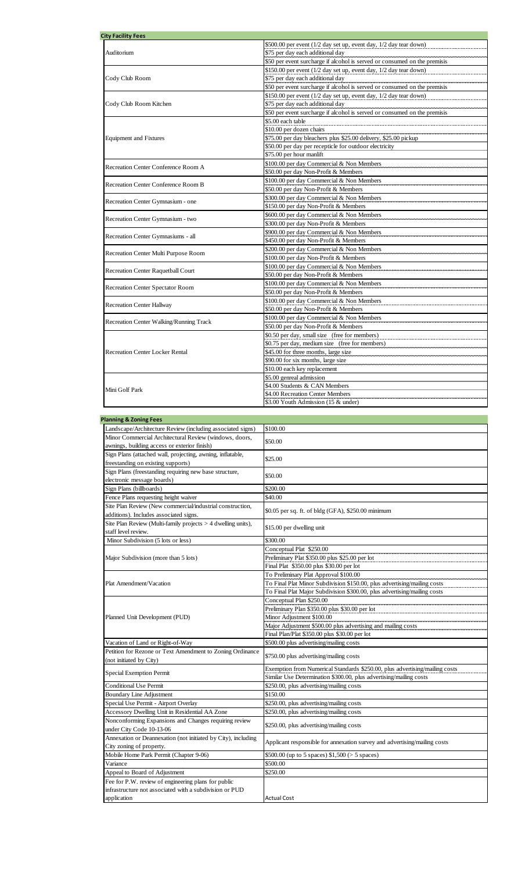| <b>City Facility Fees</b>               |                                                                           |
|-----------------------------------------|---------------------------------------------------------------------------|
|                                         | \$500.00 per event (1/2 day set up, event day, 1/2 day tear down)         |
| Auditorium                              | \$75 per day each additional day                                          |
|                                         | \$50 per event surcharge if alcohol is served or consumed on the premisis |
|                                         | \$150.00 per event (1/2 day set up, event day, 1/2 day tear down)         |
| Cody Club Room                          | \$75 per day each additional day                                          |
|                                         | \$50 per event surcharge if alcohol is served or consumed on the premisis |
|                                         | \$150.00 per event (1/2 day set up, event day, 1/2 day tear down)         |
| Cody Club Room Kitchen                  | \$75 per day each additional day                                          |
|                                         | \$50 per event surcharge if alcohol is served or consumed on the premisis |
|                                         | \$5.00 each table                                                         |
|                                         | \$10.00 per dozen chairs                                                  |
| <b>Equipment and Fixtures</b>           | \$75.00 per day bleachers plus \$25.00 delivery, \$25.00 pickup           |
|                                         | \$50.00 per day per recepticle for outdoor electricity                    |
|                                         | \$75.00 per hour manlift                                                  |
|                                         | \$100.00 per day Commercial & Non Members                                 |
| Recreation Center Conference Room A     | \$50.00 per day Non-Profit & Members                                      |
|                                         | \$100.00 per day Commercial & Non Members                                 |
| Recreation Center Conference Room B     | \$50.00 per day Non-Profit & Members                                      |
|                                         | \$300.00 per day Commercial & Non Members                                 |
| Recreation Center Gymnasium - one       | \$150.00 per day Non-Profit & Members                                     |
|                                         | \$600.00 per day Commercial & Non Members                                 |
| Recreation Center Gymnasium - two       | \$300.00 per day Non-Profit & Members                                     |
|                                         | \$900.00 per day Commercial & Non Members                                 |
| Recreation Center Gymnasiums - all      | \$450.00 per day Non-Profit & Members                                     |
|                                         | \$200.00 per day Commercial & Non Members                                 |
| Recreation Center Multi Purpose Room    | \$100.00 per day Non-Profit & Members                                     |
|                                         | \$100.00 per day Commercial & Non Members                                 |
| Recreation Center Raquetball Court      | \$50.00 per day Non-Profit & Members                                      |
|                                         | \$100.00 per day Commercial & Non Members                                 |
| Recreation Center Spectator Room        | \$50.00 per day Non-Profit & Members                                      |
|                                         | \$100.00 per day Commercial & Non Members                                 |
| <b>Recreation Center Hallway</b>        | \$50.00 per day Non-Profit & Members                                      |
|                                         | \$100.00 per day Commercial & Non Members                                 |
| Recreation Center Walking/Running Track | \$50.00 per day Non-Profit & Members                                      |
|                                         | \$0.50 per day, small size (free for members)                             |
|                                         | \$0.75 per day, medium size (free for members)                            |
| <b>Recreation Center Locker Rental</b>  | \$45.00 for three months, large size                                      |
|                                         | \$90.00 for six months, large size                                        |
|                                         | \$10.00 each key replacement                                              |
|                                         | \$5.00 genreal admission                                                  |
|                                         | \$4.00 Students & CAN Members                                             |
| Mini Golf Park                          | \$4.00 Recreation Center Members                                          |
|                                         | \$3.00 Youth Admission (15 & under)                                       |
|                                         |                                                                           |

| <b>Planning &amp; Zoning Fees</b>                              |                                                                             |
|----------------------------------------------------------------|-----------------------------------------------------------------------------|
| Landscape/Architecture Review (including associated signs)     | \$100.00                                                                    |
| Minor Commercial Architectural Review (windows, doors,         |                                                                             |
| awnings, building access or exterior finish)                   | \$50.00                                                                     |
| Sign Plans (attached wall, projecting, awning, inflatable,     |                                                                             |
| freestanding on existing supports)                             | \$25.00                                                                     |
| Sign Plans (freestanding requiring new base structure,         |                                                                             |
| electronic message boards)                                     | \$50.00                                                                     |
| Sign Plans (billboards)                                        | \$200.00                                                                    |
| Fence Plans requesting height waiver                           | \$40.00                                                                     |
| Site Plan Review (New commercial/industrial construction,      |                                                                             |
| additions). Includes associated signs.                         | \$0.05 per sq. ft. of bldg (GFA), \$250.00 minimum                          |
| Site Plan Review (Multi-family projects $> 4$ dwelling units), | \$15.00 per dwelling unit                                                   |
| staff level review.                                            |                                                                             |
| Minor Subdivision (5 lots or less)                             | \$300.00                                                                    |
|                                                                | Conceptual Plat \$250.00                                                    |
| Major Subdivision (more than 5 lots)                           | Preliminary Plat \$350.00 plus \$25.00 per lot                              |
|                                                                | Final Plat \$350.00 plus \$30.00 per lot                                    |
|                                                                | To Preliminary Plat Approval \$100.00                                       |
| Plat Amendment/Vacation                                        | To Final Plat Minor Subdivision \$150.00, plus advertising/mailing costs    |
|                                                                | To Final Plat Major Subdivision \$300.00, plus advertising/mailing costs    |
|                                                                | Conceptual Plan \$250.00                                                    |
| Planned Unit Development (PUD)                                 | Preliminary Plan \$350.00 plus \$30.00 per lot                              |
|                                                                | Minor Adjustment \$100.00                                                   |
|                                                                | Major Adjustment \$500.00 plus advertising and mailing costs                |
|                                                                | Final Plan/Plat \$350.00 plus \$30.00 per lot                               |
| Vacation of Land or Right-of-Way                               | \$500.00 plus advertising/mailing costs                                     |
| Petition for Rezone or Text Amendment to Zoning Ordinance      | \$750.00 plus advertising/mailing costs                                     |
| (not initiated by City)                                        |                                                                             |
| <b>Special Exemption Permit</b>                                | Exemption from Numerical Standards \$250.00, plus advertising/mailing costs |
|                                                                | Similar Use Determination \$300.00, plus advertising/mailing costs          |
| <b>Conditional Use Permit</b>                                  | \$250.00, plus advertising/mailing costs                                    |
| Boundary Line Adjustment                                       | \$150.00                                                                    |
| Special Use Permit - Airport Overlay                           | \$250.00, plus advertising/mailing costs                                    |
| Accessory Dwelling Unit in Residential AA Zone                 | \$250.00, plus advertising/mailing costs                                    |
| Nonconforming Expansions and Changes requiring review          | \$250.00, plus advertising/mailing costs                                    |
| under City Code 10-13-06                                       |                                                                             |
| Annexation or Deannexation (not initiated by City), including  | Applicant responsible for annexation survey and advertising/mailing costs   |
| City zoning of property.                                       |                                                                             |
| Mobile Home Park Permit (Chapter 9-06)                         | \$500.00 (up to 5 spaces) $$1,500 (> 5$ spaces)                             |
| Variance                                                       | \$500.00                                                                    |
| Appeal to Board of Adjustment                                  | \$250.00                                                                    |
| Fee for P.W. review of engineering plans for public            |                                                                             |
| infrastructure not associated with a subdivision or PUD        |                                                                             |
| application                                                    | <b>Actual Cost</b>                                                          |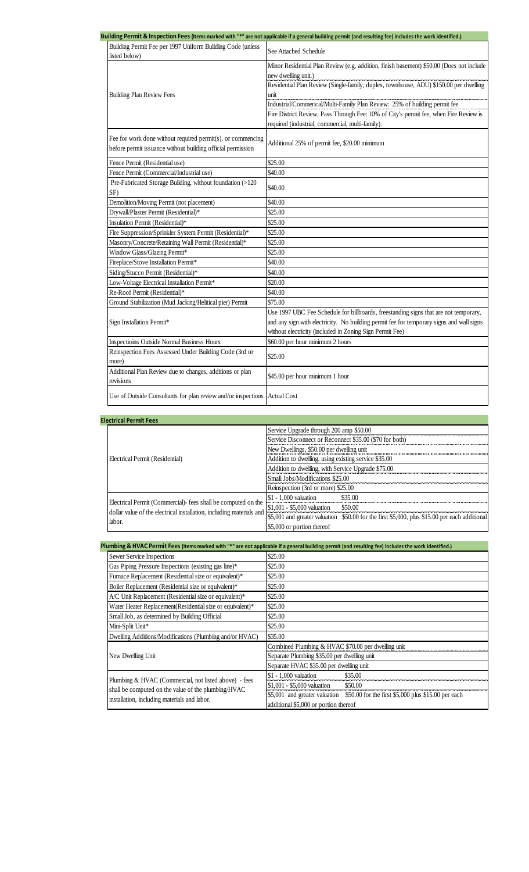|                                                                                                                            | uilding Permit & Inspection Fees (Items marked with "*" are not applicable if a general building permit (and resulting fee) includes the work identified.)                                                                                   |
|----------------------------------------------------------------------------------------------------------------------------|----------------------------------------------------------------------------------------------------------------------------------------------------------------------------------------------------------------------------------------------|
| Building Permit Fee per 1997 Uniform Building Code (unless<br>listed below)                                                | See Attached Schedule                                                                                                                                                                                                                        |
| <b>Building Plan Review Fees</b>                                                                                           | Minor Residential Plan Review (e.g. addition, finish basement) \$50.00 (Does not include<br>new dwelling unit.)<br>Residential Plan Review (Single-family, duplex, townhouse, ADU) \$150.00 per dwelling<br>unit                             |
|                                                                                                                            | Industrial/Commerical/Multi-Family Plan Review: 25% of building permit fee<br>Fire District Review, Pass Through Fee: 10% of City's permit fee, when Fire Review is<br>required (industrial, commercial, multi-family).                      |
| Fee for work done without required permit(s), or commencing<br>before permit issuance without building official permission | Additional 25% of permit fee, \$20.00 minimum                                                                                                                                                                                                |
| Fence Permit (Residential use)                                                                                             | \$25.00                                                                                                                                                                                                                                      |
| Fence Permit (Commercial/Industrial use)                                                                                   | \$40.00                                                                                                                                                                                                                                      |
| Pre-Fabricated Storage Building, without foundation (>120<br>SF)                                                           | \$40.00                                                                                                                                                                                                                                      |
| Demolition/Moving Permit (not placement)                                                                                   | \$40.00                                                                                                                                                                                                                                      |
| Drywall/Plaster Permit (Residential)*                                                                                      | \$25.00                                                                                                                                                                                                                                      |
| Insulation Permit (Residential)*                                                                                           | \$25.00                                                                                                                                                                                                                                      |
| Fire Suppression/Sprinkler System Permit (Residential)*                                                                    | \$25.00                                                                                                                                                                                                                                      |
| Masonry/Concrete/Retaining Wall Permit (Residential)*                                                                      | \$25.00                                                                                                                                                                                                                                      |
| Window Glass/Glazing Permit*                                                                                               | \$25.00                                                                                                                                                                                                                                      |
| Fireplace/Stove Installation Permit*                                                                                       | \$40.00                                                                                                                                                                                                                                      |
| Siding/Stucco Permit (Residential)*                                                                                        | \$40.00                                                                                                                                                                                                                                      |
| Low-Voltage Electrical Installation Permit*                                                                                | \$20.00                                                                                                                                                                                                                                      |
| Re-Roof Permit (Residential)*                                                                                              | \$40.00                                                                                                                                                                                                                                      |
| Ground Stabilization (Mud Jacking/Helitical pier) Permit                                                                   | \$75.00                                                                                                                                                                                                                                      |
| Sign Installation Permit*                                                                                                  | Use 1997 UBC Fee Schedule for billboards, freestanding signs that are not temporary,<br>and any sign with electricity. No building permit fee for temporary signs and wall signs<br>without electricity (included in Zoning Sign Permit Fee) |
| Inspectioins Outside Normal Business Hours                                                                                 | \$60.00 per hour minimum 2 hours                                                                                                                                                                                                             |
| Reinspection Fees Assessed Under Building Code (3rd or<br>more)                                                            | \$25.00                                                                                                                                                                                                                                      |
| Additional Plan Review due to changes, additions or plan<br>revisions                                                      | \$45.00 per hour minimum 1 hour                                                                                                                                                                                                              |
| Use of Outside Consultants for plan review and/or inspections Actual Cost                                                  |                                                                                                                                                                                                                                              |

| <b>Electrical Permit Fees</b>                                                                                                                  |                                                                                               |
|------------------------------------------------------------------------------------------------------------------------------------------------|-----------------------------------------------------------------------------------------------|
| Electrical Permit (Residential)                                                                                                                | Service Upgrade through 200 amp \$50.00                                                       |
|                                                                                                                                                | Service Disconnect or Reconnect \$35.00 (\$70 for both)                                       |
|                                                                                                                                                | New Dwellings, \$50.00 per dwelling unit                                                      |
|                                                                                                                                                | Addition to dwelling, using existing service \$35.00                                          |
|                                                                                                                                                | Addition to dwelling, with Service Upgrade \$75.00                                            |
|                                                                                                                                                | Small Jobs/Modifications \$25.00                                                              |
|                                                                                                                                                | Reinspection (3rd or more) \$25.00                                                            |
| Electrical Permit (Commercial) fees shall be computed on the<br>dollar value of the electrical installation, including materials and<br>labor. | \$35.00<br>$$1 - 1,000$ valuation                                                             |
|                                                                                                                                                | \$1,001 - \$5,000 valuation<br>\$50.00                                                        |
|                                                                                                                                                | \$5,001 and greater valuation \$50.00 for the first \$5,000, plus \$15.00 per each additional |
|                                                                                                                                                | \$5,000 or portion thereof                                                                    |

| Plumbing & HVAC Permit Fees (Items marked with "*" are not applicable if a general building permit (and resulting fee) includes the work identified.) |                                                                                      |  |
|-------------------------------------------------------------------------------------------------------------------------------------------------------|--------------------------------------------------------------------------------------|--|
| Sewer Service Inspections                                                                                                                             | \$25.00                                                                              |  |
| Gas Piping Pressure Inspections (existing gas line)*                                                                                                  | \$25.00                                                                              |  |
| Furnace Replacement (Residential size or equivalent)*                                                                                                 | \$25.00                                                                              |  |
| Boiler Replacement (Residential size or equivalent)*                                                                                                  | \$25.00                                                                              |  |
| A/C Unit Replacement (Residential size or equivalent)*                                                                                                | \$25.00                                                                              |  |
| Water Heater Replacement (Residential size or equivalent)*                                                                                            | \$25.00                                                                              |  |
| Small Job, as determined by Building Official                                                                                                         | \$25.00                                                                              |  |
| Mini-Split Unit*                                                                                                                                      | \$25.00                                                                              |  |
| Dwelling Additions/Modifications (Plumbing and/or HVAC)                                                                                               | \$35.00                                                                              |  |
|                                                                                                                                                       | Combined Plumbing & HVAC \$70.00 per dwelling unit                                   |  |
| New Dwelling Unit                                                                                                                                     | Separate Plumbing \$35.00 per dwelling unit                                          |  |
|                                                                                                                                                       | Separate HVAC \$35.00 per dwelling unit                                              |  |
| Plumbing & HVAC (Commercial, not listed above) - fees                                                                                                 | \$1 - 1,000 valuation<br>\$35.00                                                     |  |
| shall be computed on the value of the plumbing/HVAC                                                                                                   | \$1,001 - \$5,000 valuation<br>\$50.00                                               |  |
| installation, including materials and labor.                                                                                                          | \$5,001 and greater valuation<br>\$50.00 for the first \$5,000 plus \$15.00 per each |  |
|                                                                                                                                                       | additional \$5,000 or portion thereof                                                |  |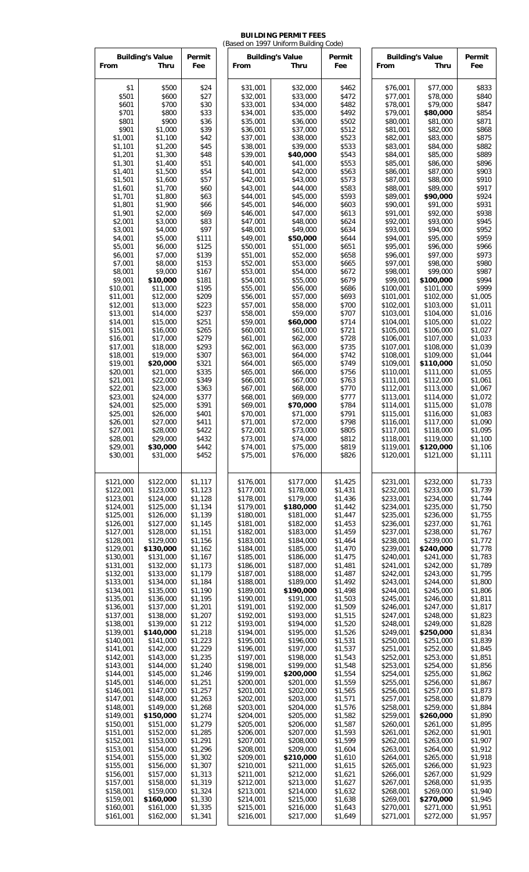## **BUILDING PERMIT FEES**

| <b>Building's Value</b><br>Permit<br>Permit<br><b>Building's Value</b><br>Permit<br><b>Building's Value</b><br>Fee<br>From<br>Thru<br>Fee<br>From<br>Thru<br>From<br>Thru<br>Fee<br>\$1<br>\$500<br>\$24<br>\$32,000<br>\$833<br>\$31,001<br>\$462<br>\$76,001<br>\$77,000<br>\$501<br>\$600<br>\$27<br>\$32,001<br>\$78,000<br>\$840<br>\$33,000<br>\$472<br>\$77,001<br>\$700<br>\$79,000<br>\$601<br>\$30<br>\$33,001<br>\$34,000<br>\$482<br>\$78,001<br>\$847<br>\$701<br>\$800<br>\$33<br>\$34,001<br>\$35,000<br>\$492<br>\$79,001<br>\$80,000<br>\$854<br>\$900<br>\$36<br>\$871<br>\$801<br>\$35,001<br>\$36,000<br>\$502<br>\$80,001<br>\$81,000<br>\$901<br>\$1,000<br>\$39<br>\$512<br>\$868<br>\$36,001<br>\$37,000<br>\$81,001<br>\$82,000<br>\$1,100<br>\$523<br>\$875<br>\$1,001<br>\$42<br>\$37,001<br>\$38,000<br>\$82,001<br>\$83,000<br>\$533<br>\$882<br>\$1,101<br>\$1,200<br>\$45<br>\$38,001<br>\$39,000<br>\$83,001<br>\$84,000<br>\$543<br>\$889<br>\$1,201<br>\$1,300<br>\$48<br>\$39,001<br>\$40,000<br>\$84,001<br>\$85,000<br>\$51<br>\$553<br>\$896<br>\$1,301<br>\$1,400<br>\$40,001<br>\$41,000<br>\$85,001<br>\$86,000<br>\$563<br>\$1,401<br>\$1,500<br>\$54<br>\$41,001<br>\$86,001<br>\$87,000<br>\$903<br>\$42,000<br>\$573<br>\$88,000<br>\$910<br>\$1,501<br>\$1,600<br>\$57<br>\$42,001<br>\$43,000<br>\$87,001<br>\$917<br>\$1,700<br>\$60<br>\$43,001<br>\$583<br>\$88,001<br>\$89,000<br>\$1,601<br>\$44,000<br>\$593<br>\$924<br>\$1,701<br>\$1,800<br>\$63<br>\$44,001<br>\$45,000<br>\$89,001<br>\$90,000<br>\$931<br>\$1,801<br>\$1,900<br>\$66<br>\$45,001<br>\$603<br>\$90,001<br>\$91,000<br>\$46,000<br>\$69<br>\$613<br>\$938<br>\$1,901<br>\$2,000<br>\$46,001<br>\$47,000<br>\$91,001<br>\$92,000<br>\$83<br>\$624<br>\$945<br>\$2,001<br>\$3,000<br>\$47,001<br>\$48,000<br>\$92,001<br>\$93,000<br>\$4,000<br>\$97<br>\$49,000<br>\$634<br>\$93,001<br>\$952<br>\$3,001<br>\$48,001<br>\$94,000<br>\$959<br>\$4,001<br>\$5,000<br>\$111<br>\$49,001<br>\$50,000<br>\$644<br>\$94,001<br>\$95,000<br>\$5,001<br>\$6,000<br>\$125<br>\$50,001<br>\$51,000<br>\$651<br>\$95,001<br>\$96,000<br>\$966<br>\$658<br>\$97,000<br>\$973<br>\$6,001<br>\$7,000<br>\$139<br>\$51,001<br>\$52,000<br>\$96,001<br>\$665<br>\$980<br>\$7,001<br>\$8,000<br>\$153<br>\$52,001<br>\$53,000<br>\$97.001<br>\$98,000<br>\$987<br>\$8,001<br>\$9,000<br>\$167<br>\$53,001<br>\$54,000<br>\$672<br>\$98,001<br>\$99,000<br>\$181<br>\$679<br>\$994<br>\$9,001<br>\$10,000<br>\$54,001<br>\$55,000<br>\$99,001<br>\$100,000<br>\$999<br>\$195<br>\$686<br>\$10,001<br>\$11,000<br>\$55,001<br>\$56,000<br>\$100,001<br>\$101,000<br>\$209<br>\$693<br>\$56,001<br>\$57,000<br>\$101,001<br>\$102,000<br>\$1,005<br>\$11,001<br>\$12,000<br>\$700<br>\$223<br>\$57,001<br>\$58,000<br>\$102,001<br>\$103,000<br>\$1,011<br>\$12,001<br>\$13,000<br>\$237<br>\$13,001<br>\$14,000<br>\$58,001<br>\$59,000<br>\$707<br>\$103,001<br>\$104,000<br>\$1,016<br>\$251<br>\$714<br>\$14,001<br>\$15,000<br>\$59,001<br>\$60,000<br>\$104,001<br>\$105,000<br>\$1,022<br>\$721<br>\$105,001<br>\$15,001<br>\$16,000<br>\$265<br>\$60,001<br>\$61,000<br>\$106,000<br>\$1,027<br>\$279<br>\$61,001<br>\$728<br>\$107,000<br>\$1,033<br>\$16,001<br>\$17,000<br>\$62,000<br>\$106,001<br>\$293<br>\$735<br>\$18,000<br>\$62,001<br>\$63,000<br>\$107,001<br>\$108,000<br>\$1,039<br>\$17,001<br>\$307<br>\$1,044<br>\$18,001<br>\$19,000<br>\$63,001<br>\$64,000<br>\$742<br>\$108,001<br>\$109,000<br>\$321<br>\$749<br>\$1,050<br>\$19,001<br>\$20,000<br>\$64,001<br>\$65,000<br>\$109,001<br>\$110,000<br>\$756<br>\$20,001<br>\$21,000<br>\$335<br>\$65,001<br>\$110,001<br>\$111,000<br>\$1,055<br>\$66,000<br>\$349<br>\$763<br>\$1,061<br>\$21,001<br>\$22,000<br>\$66,001<br>\$67,000<br>\$111,001<br>\$112,000<br>\$363<br>\$22,001<br>\$23,000<br>\$67,001<br>\$68,000<br>\$770<br>\$112,001<br>\$113,000<br>\$1,067<br>\$1,072<br>\$23,001<br>\$24,000<br>\$377<br>\$68,001<br>\$69,000<br>\$777<br>\$113,001<br>\$114,000<br>\$784<br>\$24,001<br>\$25,000<br>\$391<br>\$69,001<br>\$70,000<br>\$114,001<br>\$115,000<br>\$1,078<br>\$791<br>\$25,001<br>\$26,000<br>\$401<br>\$71,000<br>\$115,001<br>\$116,000<br>\$1,083<br>\$70,001<br>\$798<br>\$27,000<br>\$411<br>\$71,001<br>\$72,000<br>\$116,001<br>\$117,000<br>\$1,090<br>\$26,001<br>\$27,001<br>\$28,000<br>\$422<br>\$72,001<br>\$73,000<br>\$805<br>\$117,001<br>\$118,000<br>\$1,095<br>\$432<br>\$73,001<br>\$812<br>\$119,000<br>\$1,100<br>\$28,001<br>\$29,000<br>\$74,000<br>\$118,001<br>\$442<br>\$74,001<br>\$75,000<br>\$819<br>\$1,106<br>\$29,001<br>\$30,000<br>\$119,001<br>\$120,000<br>\$30,001<br>\$31,000<br>\$452<br>\$75,001<br>\$76,000<br>\$826<br>\$120,001<br>\$121,000<br>\$1,111<br>\$122,000<br>\$1,117<br>\$176,001<br>\$177,000<br>\$231,001<br>\$232,000<br>\$121,000<br>\$1,425<br>\$1,733<br>\$123,000<br>\$1,123<br>\$177,001<br>\$178,000<br>\$1,431<br>\$233,000<br>\$1,739<br>\$122,001<br>\$232,001<br>\$1,128<br>\$178,001<br>\$179,000<br>\$1,436<br>\$233,001<br>\$1,744<br>\$123,001<br>\$124,000<br>\$234,000<br>\$125,000<br>\$1,134<br>\$179,001<br>\$180,000<br>\$1,442<br>\$235,000<br>\$1,750<br>\$124,001<br>\$234,001<br>\$1,755<br>\$125,001<br>\$126,000<br>\$1,139<br>\$180,001<br>\$181,000<br>\$1,447<br>\$235,001<br>\$236,000<br>\$126,001<br>\$127,000<br>\$1,145<br>\$181,001<br>\$182,000<br>\$1,453<br>\$236,001<br>\$237,000<br>\$1,761<br>\$1,767<br>\$127,001<br>\$128,000<br>\$1,151<br>\$182,001<br>\$183,000<br>\$1,459<br>\$237,001<br>\$238,000<br>\$128,001<br>\$129,000<br>\$1,156<br>\$183,001<br>\$184,000<br>\$1,464<br>\$238,001<br>\$239,000<br>\$1,772<br>\$129,001<br>\$130,000<br>\$185,000<br>\$1,470<br>\$1,778<br>\$1,162<br>\$184,001<br>\$239,001<br>\$240,000<br>\$130,001<br>\$131,000<br>\$1,167<br>\$185,001<br>\$186,000<br>\$1,475<br>\$240,001<br>\$241,000<br>\$1,783<br>\$187,000<br>\$131,001<br>\$132,000<br>\$1,173<br>\$186,001<br>\$1,481<br>\$241,001<br>\$242,000<br>\$1,789<br>\$132,001<br>\$188,000<br>\$1,795<br>\$133,000<br>\$1,179<br>\$187,001<br>\$1,487<br>\$242,001<br>\$243,000<br>\$189,000<br>\$133,001<br>\$134,000<br>\$1,184<br>\$188,001<br>\$1,492<br>\$243,001<br>\$244,000<br>\$1,800<br>\$134,001<br>\$135,000<br>\$1,190<br>\$189,001<br>\$190,000<br>\$1,498<br>\$244,001<br>\$245,000<br>\$1,806<br>\$135,001<br>\$1,811<br>\$136,000<br>\$1,195<br>\$190,001<br>\$191,000<br>\$1,503<br>\$245,001<br>\$246,000<br>\$1,201<br>\$1,509<br>\$1,817<br>\$136,001<br>\$137,000<br>\$191,001<br>\$192,000<br>\$246,001<br>\$247,000<br>\$137,001<br>\$138,000<br>\$1,207<br>\$192,001<br>\$193,000<br>\$1,515<br>\$248,000<br>\$1,823<br>\$247,001<br>\$138,001<br>\$139,000<br>\$1 212<br>\$193,001<br>\$194,000<br>\$1,520<br>\$249,000<br>\$1,828<br>\$248,001<br>\$139,001<br>\$1,218<br>\$195,000<br>\$1,526<br>\$1,834<br>\$140,000<br>\$194,001<br>\$249,001<br>\$250,000<br>\$140,001<br>\$1,223<br>\$195,001<br>\$196,000<br>\$1,531<br>\$1,839<br>\$141,000<br>\$250,001<br>\$251,000<br>\$141,001<br>\$1,229<br>\$197,000<br>\$1,537<br>\$1,845<br>\$142,000<br>\$196,001<br>\$251,001<br>\$252,000<br>\$198,000<br>\$1,851<br>\$142,001<br>\$143,000<br>\$1,235<br>\$197,001<br>\$1,543<br>\$252,001<br>\$253,000<br>\$199,000<br>\$143,001<br>\$144,000<br>\$1,240<br>\$198,001<br>\$1,548<br>\$253,001<br>\$254,000<br>\$1,856<br>\$1,246<br>\$199,001<br>\$200,000<br>\$1,862<br>\$144,001<br>\$145,000<br>\$1,554<br>\$254,001<br>\$255,000<br>\$1,251<br>\$1,867<br>\$145,001<br>\$146,000<br>\$200,001<br>\$201,000<br>\$1,559<br>\$255,001<br>\$256,000<br>\$1,257<br>\$1,873<br>\$146,001<br>\$147,000<br>\$201,001<br>\$202,000<br>\$1,565<br>\$256,001<br>\$257,000<br>\$148,000<br>\$1,879<br>\$147,001<br>\$1,263<br>\$202,001<br>\$203,000<br>\$1,571<br>\$257,001<br>\$258,000<br>\$1,268<br>\$148,001<br>\$149,000<br>\$203,001<br>\$204,000<br>\$1,576<br>\$258,001<br>\$259,000<br>\$1,884<br>\$149,001<br>\$150,000<br>\$1,274<br>\$204,001<br>\$205,000<br>\$1,582<br>\$259,001<br>\$260,000<br>\$1,890<br>\$1,279<br>\$150,001<br>\$151,000<br>\$205,001<br>\$206,000<br>\$1,587<br>\$260,001<br>\$261,000<br>\$1,895<br>\$1,285<br>\$207,000<br>\$151,001<br>\$152,000<br>\$206,001<br>\$1,593<br>\$261,001<br>\$262,000<br>\$1,901<br>\$1,291<br>\$1,907<br>\$152,001<br>\$153,000<br>\$207,001<br>\$208,000<br>\$1,599<br>\$262,001<br>\$263,000<br>\$153,001<br>\$154,000<br>\$1,296<br>\$208,001<br>\$209,000<br>\$1,604<br>\$263,001<br>\$264,000<br>\$1,912<br>\$1,302<br>\$210,000<br>\$154,001<br>\$155,000<br>\$209,001<br>\$1,610<br>\$264,001<br>\$265,000<br>\$1,918<br>\$155,001<br>\$156,000<br>\$1,307<br>\$266,000<br>\$1,923<br>\$210,001<br>\$211,000<br>\$1,615<br>\$265,001<br>\$1,929<br>\$156,001<br>\$157,000<br>\$1,313<br>\$211,001<br>\$212,000<br>\$1,621<br>\$266,001<br>\$267,000<br>\$1,935<br>\$157,001<br>\$158,000<br>\$1,319<br>\$212,001<br>\$213,000<br>\$1,627<br>\$267,001<br>\$268,000<br>\$158,001<br>\$159,000<br>\$1,940<br>\$1,324<br>\$213,001<br>\$214,000<br>\$1,632<br>\$268,001<br>\$269,000<br>\$1,330<br>\$215,000<br>\$1,945<br>\$159,001<br>\$160,000<br>\$214,001<br>\$1,638<br>\$269,001<br>\$270,000<br>\$160,001<br>\$161,000<br>\$1,335<br>\$216,000<br>\$270,001<br>\$271,000<br>\$1,951<br>\$215,001<br>\$1,643<br>\$161,001<br>\$162,000<br>\$1,341<br>\$216,001<br>\$217,000<br>\$1,649<br>\$271,001<br>\$272,000<br>\$1,957 |  |  |  | (Based on 1997 Uniform Building Code) |  |  |  |  |  |
|----------------------------------------------------------------------------------------------------------------------------------------------------------------------------------------------------------------------------------------------------------------------------------------------------------------------------------------------------------------------------------------------------------------------------------------------------------------------------------------------------------------------------------------------------------------------------------------------------------------------------------------------------------------------------------------------------------------------------------------------------------------------------------------------------------------------------------------------------------------------------------------------------------------------------------------------------------------------------------------------------------------------------------------------------------------------------------------------------------------------------------------------------------------------------------------------------------------------------------------------------------------------------------------------------------------------------------------------------------------------------------------------------------------------------------------------------------------------------------------------------------------------------------------------------------------------------------------------------------------------------------------------------------------------------------------------------------------------------------------------------------------------------------------------------------------------------------------------------------------------------------------------------------------------------------------------------------------------------------------------------------------------------------------------------------------------------------------------------------------------------------------------------------------------------------------------------------------------------------------------------------------------------------------------------------------------------------------------------------------------------------------------------------------------------------------------------------------------------------------------------------------------------------------------------------------------------------------------------------------------------------------------------------------------------------------------------------------------------------------------------------------------------------------------------------------------------------------------------------------------------------------------------------------------------------------------------------------------------------------------------------------------------------------------------------------------------------------------------------------------------------------------------------------------------------------------------------------------------------------------------------------------------------------------------------------------------------------------------------------------------------------------------------------------------------------------------------------------------------------------------------------------------------------------------------------------------------------------------------------------------------------------------------------------------------------------------------------------------------------------------------------------------------------------------------------------------------------------------------------------------------------------------------------------------------------------------------------------------------------------------------------------------------------------------------------------------------------------------------------------------------------------------------------------------------------------------------------------------------------------------------------------------------------------------------------------------------------------------------------------------------------------------------------------------------------------------------------------------------------------------------------------------------------------------------------------------------------------------------------------------------------------------------------------------------------------------------------------------------------------------------------------------------------------------------------------------------------------------------------------------------------------------------------------------------------------------------------------------------------------------------------------------------------------------------------------------------------------------------------------------------------------------------------------------------------------------------------------------------------------------------------------------------------------------------------------------------------------------------------------------------------------------------------------------------------------------------------------------------------------------------------------------------------------------------------------------------------------------------------------------------------------------------------------------------------------------------------------------------------------------------------------------------------------------------------------------------------------------------------------------------------------------------------------------------------------------------------------------------------------------------------------------------------------------------------------------------------------------------------------------------------------------------------------------------------------------------------------------------------------------------------------------------------------------------------------------------------------------------------------------------------------------------------------------------------------------------------------------------------------------------------------------------------------------------------------------------------------------------------------------------------------------------------------------------------------------------------------------------------------------------------------------------------------------------------------------------------------------------------------------------------------------------------------------------------------------------------------------------------------------------------------------------------------------------------------------------------------------------------------------------------------------------------------------------------------------------------------------------------------------------------------------------------------------------------------------------------------------------------------------------------------------------------------------------------------------------------------------------------------------------------------------------------------------------------------------------------------------------------------------------------------------------------------------------------------------------------------------------------------------------------------------------------------------------------------------------------------------------------------------------------------------------------------------------------------------------------------------------------------------------------------------------------------------------------------------------------------------------------------------------------------------------------------------------------------------------------------------------------------------------------------------------------------------------------------------------------------------------------------------------------------------------------------------------------------------------------------------------------------------------------------------------------------------------------------------------------------------------------------------------------------------------------------------------------------------------------------------------------------------------------------------------------------------------------------------------------------------------------------------------------------------------------------------------------------------------------------------------------------------------------------------------------------------------------------------------------------------------------------------------------------------------------------------------------------------------------------------------------------------------------------------------------------------------------------------------------------------------------------------------------------------------------------------------------------------------------------------------------------------------------------------------------------------------|--|--|--|---------------------------------------|--|--|--|--|--|
|                                                                                                                                                                                                                                                                                                                                                                                                                                                                                                                                                                                                                                                                                                                                                                                                                                                                                                                                                                                                                                                                                                                                                                                                                                                                                                                                                                                                                                                                                                                                                                                                                                                                                                                                                                                                                                                                                                                                                                                                                                                                                                                                                                                                                                                                                                                                                                                                                                                                                                                                                                                                                                                                                                                                                                                                                                                                                                                                                                                                                                                                                                                                                                                                                                                                                                                                                                                                                                                                                                                                                                                                                                                                                                                                                                                                                                                                                                                                                                                                                                                                                                                                                                                                                                                                                                                                                                                                                                                                                                                                                                                                                                                                                                                                                                                                                                                                                                                                                                                                                                                                                                                                                                                                                                                                                                                                                                                                                                                                                                                                                                                                                                                                                                                                                                                                                                                                                                                                                                                                                                                                                                                                                                                                                                                                                                                                                                                                                                                                                                                                                                                                                                                                                                                                                                                                                                                                                                                                                                                                                                                                                                                                                                                                                                                                                                                                                                                                                                                                                                                                                                                                                                                                                                                                                                                                                                                                                                                                                                                                                                                                                                                                                                                                                                                                                                                                                                                                                                                                                                                                                                                                                                                                                                                                                                                                                                                                                                                                                                                                                                                                                                                                                                                                                                                                                                                                                                                                                                                                                                                                                          |  |  |  |                                       |  |  |  |  |  |
|                                                                                                                                                                                                                                                                                                                                                                                                                                                                                                                                                                                                                                                                                                                                                                                                                                                                                                                                                                                                                                                                                                                                                                                                                                                                                                                                                                                                                                                                                                                                                                                                                                                                                                                                                                                                                                                                                                                                                                                                                                                                                                                                                                                                                                                                                                                                                                                                                                                                                                                                                                                                                                                                                                                                                                                                                                                                                                                                                                                                                                                                                                                                                                                                                                                                                                                                                                                                                                                                                                                                                                                                                                                                                                                                                                                                                                                                                                                                                                                                                                                                                                                                                                                                                                                                                                                                                                                                                                                                                                                                                                                                                                                                                                                                                                                                                                                                                                                                                                                                                                                                                                                                                                                                                                                                                                                                                                                                                                                                                                                                                                                                                                                                                                                                                                                                                                                                                                                                                                                                                                                                                                                                                                                                                                                                                                                                                                                                                                                                                                                                                                                                                                                                                                                                                                                                                                                                                                                                                                                                                                                                                                                                                                                                                                                                                                                                                                                                                                                                                                                                                                                                                                                                                                                                                                                                                                                                                                                                                                                                                                                                                                                                                                                                                                                                                                                                                                                                                                                                                                                                                                                                                                                                                                                                                                                                                                                                                                                                                                                                                                                                                                                                                                                                                                                                                                                                                                                                                                                                                                                                                          |  |  |  |                                       |  |  |  |  |  |
|                                                                                                                                                                                                                                                                                                                                                                                                                                                                                                                                                                                                                                                                                                                                                                                                                                                                                                                                                                                                                                                                                                                                                                                                                                                                                                                                                                                                                                                                                                                                                                                                                                                                                                                                                                                                                                                                                                                                                                                                                                                                                                                                                                                                                                                                                                                                                                                                                                                                                                                                                                                                                                                                                                                                                                                                                                                                                                                                                                                                                                                                                                                                                                                                                                                                                                                                                                                                                                                                                                                                                                                                                                                                                                                                                                                                                                                                                                                                                                                                                                                                                                                                                                                                                                                                                                                                                                                                                                                                                                                                                                                                                                                                                                                                                                                                                                                                                                                                                                                                                                                                                                                                                                                                                                                                                                                                                                                                                                                                                                                                                                                                                                                                                                                                                                                                                                                                                                                                                                                                                                                                                                                                                                                                                                                                                                                                                                                                                                                                                                                                                                                                                                                                                                                                                                                                                                                                                                                                                                                                                                                                                                                                                                                                                                                                                                                                                                                                                                                                                                                                                                                                                                                                                                                                                                                                                                                                                                                                                                                                                                                                                                                                                                                                                                                                                                                                                                                                                                                                                                                                                                                                                                                                                                                                                                                                                                                                                                                                                                                                                                                                                                                                                                                                                                                                                                                                                                                                                                                                                                                                                          |  |  |  |                                       |  |  |  |  |  |
|                                                                                                                                                                                                                                                                                                                                                                                                                                                                                                                                                                                                                                                                                                                                                                                                                                                                                                                                                                                                                                                                                                                                                                                                                                                                                                                                                                                                                                                                                                                                                                                                                                                                                                                                                                                                                                                                                                                                                                                                                                                                                                                                                                                                                                                                                                                                                                                                                                                                                                                                                                                                                                                                                                                                                                                                                                                                                                                                                                                                                                                                                                                                                                                                                                                                                                                                                                                                                                                                                                                                                                                                                                                                                                                                                                                                                                                                                                                                                                                                                                                                                                                                                                                                                                                                                                                                                                                                                                                                                                                                                                                                                                                                                                                                                                                                                                                                                                                                                                                                                                                                                                                                                                                                                                                                                                                                                                                                                                                                                                                                                                                                                                                                                                                                                                                                                                                                                                                                                                                                                                                                                                                                                                                                                                                                                                                                                                                                                                                                                                                                                                                                                                                                                                                                                                                                                                                                                                                                                                                                                                                                                                                                                                                                                                                                                                                                                                                                                                                                                                                                                                                                                                                                                                                                                                                                                                                                                                                                                                                                                                                                                                                                                                                                                                                                                                                                                                                                                                                                                                                                                                                                                                                                                                                                                                                                                                                                                                                                                                                                                                                                                                                                                                                                                                                                                                                                                                                                                                                                                                                                                          |  |  |  |                                       |  |  |  |  |  |
|                                                                                                                                                                                                                                                                                                                                                                                                                                                                                                                                                                                                                                                                                                                                                                                                                                                                                                                                                                                                                                                                                                                                                                                                                                                                                                                                                                                                                                                                                                                                                                                                                                                                                                                                                                                                                                                                                                                                                                                                                                                                                                                                                                                                                                                                                                                                                                                                                                                                                                                                                                                                                                                                                                                                                                                                                                                                                                                                                                                                                                                                                                                                                                                                                                                                                                                                                                                                                                                                                                                                                                                                                                                                                                                                                                                                                                                                                                                                                                                                                                                                                                                                                                                                                                                                                                                                                                                                                                                                                                                                                                                                                                                                                                                                                                                                                                                                                                                                                                                                                                                                                                                                                                                                                                                                                                                                                                                                                                                                                                                                                                                                                                                                                                                                                                                                                                                                                                                                                                                                                                                                                                                                                                                                                                                                                                                                                                                                                                                                                                                                                                                                                                                                                                                                                                                                                                                                                                                                                                                                                                                                                                                                                                                                                                                                                                                                                                                                                                                                                                                                                                                                                                                                                                                                                                                                                                                                                                                                                                                                                                                                                                                                                                                                                                                                                                                                                                                                                                                                                                                                                                                                                                                                                                                                                                                                                                                                                                                                                                                                                                                                                                                                                                                                                                                                                                                                                                                                                                                                                                                                                          |  |  |  |                                       |  |  |  |  |  |
|                                                                                                                                                                                                                                                                                                                                                                                                                                                                                                                                                                                                                                                                                                                                                                                                                                                                                                                                                                                                                                                                                                                                                                                                                                                                                                                                                                                                                                                                                                                                                                                                                                                                                                                                                                                                                                                                                                                                                                                                                                                                                                                                                                                                                                                                                                                                                                                                                                                                                                                                                                                                                                                                                                                                                                                                                                                                                                                                                                                                                                                                                                                                                                                                                                                                                                                                                                                                                                                                                                                                                                                                                                                                                                                                                                                                                                                                                                                                                                                                                                                                                                                                                                                                                                                                                                                                                                                                                                                                                                                                                                                                                                                                                                                                                                                                                                                                                                                                                                                                                                                                                                                                                                                                                                                                                                                                                                                                                                                                                                                                                                                                                                                                                                                                                                                                                                                                                                                                                                                                                                                                                                                                                                                                                                                                                                                                                                                                                                                                                                                                                                                                                                                                                                                                                                                                                                                                                                                                                                                                                                                                                                                                                                                                                                                                                                                                                                                                                                                                                                                                                                                                                                                                                                                                                                                                                                                                                                                                                                                                                                                                                                                                                                                                                                                                                                                                                                                                                                                                                                                                                                                                                                                                                                                                                                                                                                                                                                                                                                                                                                                                                                                                                                                                                                                                                                                                                                                                                                                                                                                                                          |  |  |  |                                       |  |  |  |  |  |
|                                                                                                                                                                                                                                                                                                                                                                                                                                                                                                                                                                                                                                                                                                                                                                                                                                                                                                                                                                                                                                                                                                                                                                                                                                                                                                                                                                                                                                                                                                                                                                                                                                                                                                                                                                                                                                                                                                                                                                                                                                                                                                                                                                                                                                                                                                                                                                                                                                                                                                                                                                                                                                                                                                                                                                                                                                                                                                                                                                                                                                                                                                                                                                                                                                                                                                                                                                                                                                                                                                                                                                                                                                                                                                                                                                                                                                                                                                                                                                                                                                                                                                                                                                                                                                                                                                                                                                                                                                                                                                                                                                                                                                                                                                                                                                                                                                                                                                                                                                                                                                                                                                                                                                                                                                                                                                                                                                                                                                                                                                                                                                                                                                                                                                                                                                                                                                                                                                                                                                                                                                                                                                                                                                                                                                                                                                                                                                                                                                                                                                                                                                                                                                                                                                                                                                                                                                                                                                                                                                                                                                                                                                                                                                                                                                                                                                                                                                                                                                                                                                                                                                                                                                                                                                                                                                                                                                                                                                                                                                                                                                                                                                                                                                                                                                                                                                                                                                                                                                                                                                                                                                                                                                                                                                                                                                                                                                                                                                                                                                                                                                                                                                                                                                                                                                                                                                                                                                                                                                                                                                                                                          |  |  |  |                                       |  |  |  |  |  |
|                                                                                                                                                                                                                                                                                                                                                                                                                                                                                                                                                                                                                                                                                                                                                                                                                                                                                                                                                                                                                                                                                                                                                                                                                                                                                                                                                                                                                                                                                                                                                                                                                                                                                                                                                                                                                                                                                                                                                                                                                                                                                                                                                                                                                                                                                                                                                                                                                                                                                                                                                                                                                                                                                                                                                                                                                                                                                                                                                                                                                                                                                                                                                                                                                                                                                                                                                                                                                                                                                                                                                                                                                                                                                                                                                                                                                                                                                                                                                                                                                                                                                                                                                                                                                                                                                                                                                                                                                                                                                                                                                                                                                                                                                                                                                                                                                                                                                                                                                                                                                                                                                                                                                                                                                                                                                                                                                                                                                                                                                                                                                                                                                                                                                                                                                                                                                                                                                                                                                                                                                                                                                                                                                                                                                                                                                                                                                                                                                                                                                                                                                                                                                                                                                                                                                                                                                                                                                                                                                                                                                                                                                                                                                                                                                                                                                                                                                                                                                                                                                                                                                                                                                                                                                                                                                                                                                                                                                                                                                                                                                                                                                                                                                                                                                                                                                                                                                                                                                                                                                                                                                                                                                                                                                                                                                                                                                                                                                                                                                                                                                                                                                                                                                                                                                                                                                                                                                                                                                                                                                                                                                          |  |  |  |                                       |  |  |  |  |  |
|                                                                                                                                                                                                                                                                                                                                                                                                                                                                                                                                                                                                                                                                                                                                                                                                                                                                                                                                                                                                                                                                                                                                                                                                                                                                                                                                                                                                                                                                                                                                                                                                                                                                                                                                                                                                                                                                                                                                                                                                                                                                                                                                                                                                                                                                                                                                                                                                                                                                                                                                                                                                                                                                                                                                                                                                                                                                                                                                                                                                                                                                                                                                                                                                                                                                                                                                                                                                                                                                                                                                                                                                                                                                                                                                                                                                                                                                                                                                                                                                                                                                                                                                                                                                                                                                                                                                                                                                                                                                                                                                                                                                                                                                                                                                                                                                                                                                                                                                                                                                                                                                                                                                                                                                                                                                                                                                                                                                                                                                                                                                                                                                                                                                                                                                                                                                                                                                                                                                                                                                                                                                                                                                                                                                                                                                                                                                                                                                                                                                                                                                                                                                                                                                                                                                                                                                                                                                                                                                                                                                                                                                                                                                                                                                                                                                                                                                                                                                                                                                                                                                                                                                                                                                                                                                                                                                                                                                                                                                                                                                                                                                                                                                                                                                                                                                                                                                                                                                                                                                                                                                                                                                                                                                                                                                                                                                                                                                                                                                                                                                                                                                                                                                                                                                                                                                                                                                                                                                                                                                                                                                                          |  |  |  |                                       |  |  |  |  |  |
|                                                                                                                                                                                                                                                                                                                                                                                                                                                                                                                                                                                                                                                                                                                                                                                                                                                                                                                                                                                                                                                                                                                                                                                                                                                                                                                                                                                                                                                                                                                                                                                                                                                                                                                                                                                                                                                                                                                                                                                                                                                                                                                                                                                                                                                                                                                                                                                                                                                                                                                                                                                                                                                                                                                                                                                                                                                                                                                                                                                                                                                                                                                                                                                                                                                                                                                                                                                                                                                                                                                                                                                                                                                                                                                                                                                                                                                                                                                                                                                                                                                                                                                                                                                                                                                                                                                                                                                                                                                                                                                                                                                                                                                                                                                                                                                                                                                                                                                                                                                                                                                                                                                                                                                                                                                                                                                                                                                                                                                                                                                                                                                                                                                                                                                                                                                                                                                                                                                                                                                                                                                                                                                                                                                                                                                                                                                                                                                                                                                                                                                                                                                                                                                                                                                                                                                                                                                                                                                                                                                                                                                                                                                                                                                                                                                                                                                                                                                                                                                                                                                                                                                                                                                                                                                                                                                                                                                                                                                                                                                                                                                                                                                                                                                                                                                                                                                                                                                                                                                                                                                                                                                                                                                                                                                                                                                                                                                                                                                                                                                                                                                                                                                                                                                                                                                                                                                                                                                                                                                                                                                                                          |  |  |  |                                       |  |  |  |  |  |
|                                                                                                                                                                                                                                                                                                                                                                                                                                                                                                                                                                                                                                                                                                                                                                                                                                                                                                                                                                                                                                                                                                                                                                                                                                                                                                                                                                                                                                                                                                                                                                                                                                                                                                                                                                                                                                                                                                                                                                                                                                                                                                                                                                                                                                                                                                                                                                                                                                                                                                                                                                                                                                                                                                                                                                                                                                                                                                                                                                                                                                                                                                                                                                                                                                                                                                                                                                                                                                                                                                                                                                                                                                                                                                                                                                                                                                                                                                                                                                                                                                                                                                                                                                                                                                                                                                                                                                                                                                                                                                                                                                                                                                                                                                                                                                                                                                                                                                                                                                                                                                                                                                                                                                                                                                                                                                                                                                                                                                                                                                                                                                                                                                                                                                                                                                                                                                                                                                                                                                                                                                                                                                                                                                                                                                                                                                                                                                                                                                                                                                                                                                                                                                                                                                                                                                                                                                                                                                                                                                                                                                                                                                                                                                                                                                                                                                                                                                                                                                                                                                                                                                                                                                                                                                                                                                                                                                                                                                                                                                                                                                                                                                                                                                                                                                                                                                                                                                                                                                                                                                                                                                                                                                                                                                                                                                                                                                                                                                                                                                                                                                                                                                                                                                                                                                                                                                                                                                                                                                                                                                                                                          |  |  |  |                                       |  |  |  |  |  |
|                                                                                                                                                                                                                                                                                                                                                                                                                                                                                                                                                                                                                                                                                                                                                                                                                                                                                                                                                                                                                                                                                                                                                                                                                                                                                                                                                                                                                                                                                                                                                                                                                                                                                                                                                                                                                                                                                                                                                                                                                                                                                                                                                                                                                                                                                                                                                                                                                                                                                                                                                                                                                                                                                                                                                                                                                                                                                                                                                                                                                                                                                                                                                                                                                                                                                                                                                                                                                                                                                                                                                                                                                                                                                                                                                                                                                                                                                                                                                                                                                                                                                                                                                                                                                                                                                                                                                                                                                                                                                                                                                                                                                                                                                                                                                                                                                                                                                                                                                                                                                                                                                                                                                                                                                                                                                                                                                                                                                                                                                                                                                                                                                                                                                                                                                                                                                                                                                                                                                                                                                                                                                                                                                                                                                                                                                                                                                                                                                                                                                                                                                                                                                                                                                                                                                                                                                                                                                                                                                                                                                                                                                                                                                                                                                                                                                                                                                                                                                                                                                                                                                                                                                                                                                                                                                                                                                                                                                                                                                                                                                                                                                                                                                                                                                                                                                                                                                                                                                                                                                                                                                                                                                                                                                                                                                                                                                                                                                                                                                                                                                                                                                                                                                                                                                                                                                                                                                                                                                                                                                                                                                          |  |  |  |                                       |  |  |  |  |  |
|                                                                                                                                                                                                                                                                                                                                                                                                                                                                                                                                                                                                                                                                                                                                                                                                                                                                                                                                                                                                                                                                                                                                                                                                                                                                                                                                                                                                                                                                                                                                                                                                                                                                                                                                                                                                                                                                                                                                                                                                                                                                                                                                                                                                                                                                                                                                                                                                                                                                                                                                                                                                                                                                                                                                                                                                                                                                                                                                                                                                                                                                                                                                                                                                                                                                                                                                                                                                                                                                                                                                                                                                                                                                                                                                                                                                                                                                                                                                                                                                                                                                                                                                                                                                                                                                                                                                                                                                                                                                                                                                                                                                                                                                                                                                                                                                                                                                                                                                                                                                                                                                                                                                                                                                                                                                                                                                                                                                                                                                                                                                                                                                                                                                                                                                                                                                                                                                                                                                                                                                                                                                                                                                                                                                                                                                                                                                                                                                                                                                                                                                                                                                                                                                                                                                                                                                                                                                                                                                                                                                                                                                                                                                                                                                                                                                                                                                                                                                                                                                                                                                                                                                                                                                                                                                                                                                                                                                                                                                                                                                                                                                                                                                                                                                                                                                                                                                                                                                                                                                                                                                                                                                                                                                                                                                                                                                                                                                                                                                                                                                                                                                                                                                                                                                                                                                                                                                                                                                                                                                                                                                                          |  |  |  |                                       |  |  |  |  |  |
|                                                                                                                                                                                                                                                                                                                                                                                                                                                                                                                                                                                                                                                                                                                                                                                                                                                                                                                                                                                                                                                                                                                                                                                                                                                                                                                                                                                                                                                                                                                                                                                                                                                                                                                                                                                                                                                                                                                                                                                                                                                                                                                                                                                                                                                                                                                                                                                                                                                                                                                                                                                                                                                                                                                                                                                                                                                                                                                                                                                                                                                                                                                                                                                                                                                                                                                                                                                                                                                                                                                                                                                                                                                                                                                                                                                                                                                                                                                                                                                                                                                                                                                                                                                                                                                                                                                                                                                                                                                                                                                                                                                                                                                                                                                                                                                                                                                                                                                                                                                                                                                                                                                                                                                                                                                                                                                                                                                                                                                                                                                                                                                                                                                                                                                                                                                                                                                                                                                                                                                                                                                                                                                                                                                                                                                                                                                                                                                                                                                                                                                                                                                                                                                                                                                                                                                                                                                                                                                                                                                                                                                                                                                                                                                                                                                                                                                                                                                                                                                                                                                                                                                                                                                                                                                                                                                                                                                                                                                                                                                                                                                                                                                                                                                                                                                                                                                                                                                                                                                                                                                                                                                                                                                                                                                                                                                                                                                                                                                                                                                                                                                                                                                                                                                                                                                                                                                                                                                                                                                                                                                                                          |  |  |  |                                       |  |  |  |  |  |
|                                                                                                                                                                                                                                                                                                                                                                                                                                                                                                                                                                                                                                                                                                                                                                                                                                                                                                                                                                                                                                                                                                                                                                                                                                                                                                                                                                                                                                                                                                                                                                                                                                                                                                                                                                                                                                                                                                                                                                                                                                                                                                                                                                                                                                                                                                                                                                                                                                                                                                                                                                                                                                                                                                                                                                                                                                                                                                                                                                                                                                                                                                                                                                                                                                                                                                                                                                                                                                                                                                                                                                                                                                                                                                                                                                                                                                                                                                                                                                                                                                                                                                                                                                                                                                                                                                                                                                                                                                                                                                                                                                                                                                                                                                                                                                                                                                                                                                                                                                                                                                                                                                                                                                                                                                                                                                                                                                                                                                                                                                                                                                                                                                                                                                                                                                                                                                                                                                                                                                                                                                                                                                                                                                                                                                                                                                                                                                                                                                                                                                                                                                                                                                                                                                                                                                                                                                                                                                                                                                                                                                                                                                                                                                                                                                                                                                                                                                                                                                                                                                                                                                                                                                                                                                                                                                                                                                                                                                                                                                                                                                                                                                                                                                                                                                                                                                                                                                                                                                                                                                                                                                                                                                                                                                                                                                                                                                                                                                                                                                                                                                                                                                                                                                                                                                                                                                                                                                                                                                                                                                                                                          |  |  |  |                                       |  |  |  |  |  |
|                                                                                                                                                                                                                                                                                                                                                                                                                                                                                                                                                                                                                                                                                                                                                                                                                                                                                                                                                                                                                                                                                                                                                                                                                                                                                                                                                                                                                                                                                                                                                                                                                                                                                                                                                                                                                                                                                                                                                                                                                                                                                                                                                                                                                                                                                                                                                                                                                                                                                                                                                                                                                                                                                                                                                                                                                                                                                                                                                                                                                                                                                                                                                                                                                                                                                                                                                                                                                                                                                                                                                                                                                                                                                                                                                                                                                                                                                                                                                                                                                                                                                                                                                                                                                                                                                                                                                                                                                                                                                                                                                                                                                                                                                                                                                                                                                                                                                                                                                                                                                                                                                                                                                                                                                                                                                                                                                                                                                                                                                                                                                                                                                                                                                                                                                                                                                                                                                                                                                                                                                                                                                                                                                                                                                                                                                                                                                                                                                                                                                                                                                                                                                                                                                                                                                                                                                                                                                                                                                                                                                                                                                                                                                                                                                                                                                                                                                                                                                                                                                                                                                                                                                                                                                                                                                                                                                                                                                                                                                                                                                                                                                                                                                                                                                                                                                                                                                                                                                                                                                                                                                                                                                                                                                                                                                                                                                                                                                                                                                                                                                                                                                                                                                                                                                                                                                                                                                                                                                                                                                                                                                          |  |  |  |                                       |  |  |  |  |  |
|                                                                                                                                                                                                                                                                                                                                                                                                                                                                                                                                                                                                                                                                                                                                                                                                                                                                                                                                                                                                                                                                                                                                                                                                                                                                                                                                                                                                                                                                                                                                                                                                                                                                                                                                                                                                                                                                                                                                                                                                                                                                                                                                                                                                                                                                                                                                                                                                                                                                                                                                                                                                                                                                                                                                                                                                                                                                                                                                                                                                                                                                                                                                                                                                                                                                                                                                                                                                                                                                                                                                                                                                                                                                                                                                                                                                                                                                                                                                                                                                                                                                                                                                                                                                                                                                                                                                                                                                                                                                                                                                                                                                                                                                                                                                                                                                                                                                                                                                                                                                                                                                                                                                                                                                                                                                                                                                                                                                                                                                                                                                                                                                                                                                                                                                                                                                                                                                                                                                                                                                                                                                                                                                                                                                                                                                                                                                                                                                                                                                                                                                                                                                                                                                                                                                                                                                                                                                                                                                                                                                                                                                                                                                                                                                                                                                                                                                                                                                                                                                                                                                                                                                                                                                                                                                                                                                                                                                                                                                                                                                                                                                                                                                                                                                                                                                                                                                                                                                                                                                                                                                                                                                                                                                                                                                                                                                                                                                                                                                                                                                                                                                                                                                                                                                                                                                                                                                                                                                                                                                                                                                                          |  |  |  |                                       |  |  |  |  |  |
|                                                                                                                                                                                                                                                                                                                                                                                                                                                                                                                                                                                                                                                                                                                                                                                                                                                                                                                                                                                                                                                                                                                                                                                                                                                                                                                                                                                                                                                                                                                                                                                                                                                                                                                                                                                                                                                                                                                                                                                                                                                                                                                                                                                                                                                                                                                                                                                                                                                                                                                                                                                                                                                                                                                                                                                                                                                                                                                                                                                                                                                                                                                                                                                                                                                                                                                                                                                                                                                                                                                                                                                                                                                                                                                                                                                                                                                                                                                                                                                                                                                                                                                                                                                                                                                                                                                                                                                                                                                                                                                                                                                                                                                                                                                                                                                                                                                                                                                                                                                                                                                                                                                                                                                                                                                                                                                                                                                                                                                                                                                                                                                                                                                                                                                                                                                                                                                                                                                                                                                                                                                                                                                                                                                                                                                                                                                                                                                                                                                                                                                                                                                                                                                                                                                                                                                                                                                                                                                                                                                                                                                                                                                                                                                                                                                                                                                                                                                                                                                                                                                                                                                                                                                                                                                                                                                                                                                                                                                                                                                                                                                                                                                                                                                                                                                                                                                                                                                                                                                                                                                                                                                                                                                                                                                                                                                                                                                                                                                                                                                                                                                                                                                                                                                                                                                                                                                                                                                                                                                                                                                                                          |  |  |  |                                       |  |  |  |  |  |
|                                                                                                                                                                                                                                                                                                                                                                                                                                                                                                                                                                                                                                                                                                                                                                                                                                                                                                                                                                                                                                                                                                                                                                                                                                                                                                                                                                                                                                                                                                                                                                                                                                                                                                                                                                                                                                                                                                                                                                                                                                                                                                                                                                                                                                                                                                                                                                                                                                                                                                                                                                                                                                                                                                                                                                                                                                                                                                                                                                                                                                                                                                                                                                                                                                                                                                                                                                                                                                                                                                                                                                                                                                                                                                                                                                                                                                                                                                                                                                                                                                                                                                                                                                                                                                                                                                                                                                                                                                                                                                                                                                                                                                                                                                                                                                                                                                                                                                                                                                                                                                                                                                                                                                                                                                                                                                                                                                                                                                                                                                                                                                                                                                                                                                                                                                                                                                                                                                                                                                                                                                                                                                                                                                                                                                                                                                                                                                                                                                                                                                                                                                                                                                                                                                                                                                                                                                                                                                                                                                                                                                                                                                                                                                                                                                                                                                                                                                                                                                                                                                                                                                                                                                                                                                                                                                                                                                                                                                                                                                                                                                                                                                                                                                                                                                                                                                                                                                                                                                                                                                                                                                                                                                                                                                                                                                                                                                                                                                                                                                                                                                                                                                                                                                                                                                                                                                                                                                                                                                                                                                                                                          |  |  |  |                                       |  |  |  |  |  |
|                                                                                                                                                                                                                                                                                                                                                                                                                                                                                                                                                                                                                                                                                                                                                                                                                                                                                                                                                                                                                                                                                                                                                                                                                                                                                                                                                                                                                                                                                                                                                                                                                                                                                                                                                                                                                                                                                                                                                                                                                                                                                                                                                                                                                                                                                                                                                                                                                                                                                                                                                                                                                                                                                                                                                                                                                                                                                                                                                                                                                                                                                                                                                                                                                                                                                                                                                                                                                                                                                                                                                                                                                                                                                                                                                                                                                                                                                                                                                                                                                                                                                                                                                                                                                                                                                                                                                                                                                                                                                                                                                                                                                                                                                                                                                                                                                                                                                                                                                                                                                                                                                                                                                                                                                                                                                                                                                                                                                                                                                                                                                                                                                                                                                                                                                                                                                                                                                                                                                                                                                                                                                                                                                                                                                                                                                                                                                                                                                                                                                                                                                                                                                                                                                                                                                                                                                                                                                                                                                                                                                                                                                                                                                                                                                                                                                                                                                                                                                                                                                                                                                                                                                                                                                                                                                                                                                                                                                                                                                                                                                                                                                                                                                                                                                                                                                                                                                                                                                                                                                                                                                                                                                                                                                                                                                                                                                                                                                                                                                                                                                                                                                                                                                                                                                                                                                                                                                                                                                                                                                                                                                          |  |  |  |                                       |  |  |  |  |  |
|                                                                                                                                                                                                                                                                                                                                                                                                                                                                                                                                                                                                                                                                                                                                                                                                                                                                                                                                                                                                                                                                                                                                                                                                                                                                                                                                                                                                                                                                                                                                                                                                                                                                                                                                                                                                                                                                                                                                                                                                                                                                                                                                                                                                                                                                                                                                                                                                                                                                                                                                                                                                                                                                                                                                                                                                                                                                                                                                                                                                                                                                                                                                                                                                                                                                                                                                                                                                                                                                                                                                                                                                                                                                                                                                                                                                                                                                                                                                                                                                                                                                                                                                                                                                                                                                                                                                                                                                                                                                                                                                                                                                                                                                                                                                                                                                                                                                                                                                                                                                                                                                                                                                                                                                                                                                                                                                                                                                                                                                                                                                                                                                                                                                                                                                                                                                                                                                                                                                                                                                                                                                                                                                                                                                                                                                                                                                                                                                                                                                                                                                                                                                                                                                                                                                                                                                                                                                                                                                                                                                                                                                                                                                                                                                                                                                                                                                                                                                                                                                                                                                                                                                                                                                                                                                                                                                                                                                                                                                                                                                                                                                                                                                                                                                                                                                                                                                                                                                                                                                                                                                                                                                                                                                                                                                                                                                                                                                                                                                                                                                                                                                                                                                                                                                                                                                                                                                                                                                                                                                                                                                                          |  |  |  |                                       |  |  |  |  |  |
|                                                                                                                                                                                                                                                                                                                                                                                                                                                                                                                                                                                                                                                                                                                                                                                                                                                                                                                                                                                                                                                                                                                                                                                                                                                                                                                                                                                                                                                                                                                                                                                                                                                                                                                                                                                                                                                                                                                                                                                                                                                                                                                                                                                                                                                                                                                                                                                                                                                                                                                                                                                                                                                                                                                                                                                                                                                                                                                                                                                                                                                                                                                                                                                                                                                                                                                                                                                                                                                                                                                                                                                                                                                                                                                                                                                                                                                                                                                                                                                                                                                                                                                                                                                                                                                                                                                                                                                                                                                                                                                                                                                                                                                                                                                                                                                                                                                                                                                                                                                                                                                                                                                                                                                                                                                                                                                                                                                                                                                                                                                                                                                                                                                                                                                                                                                                                                                                                                                                                                                                                                                                                                                                                                                                                                                                                                                                                                                                                                                                                                                                                                                                                                                                                                                                                                                                                                                                                                                                                                                                                                                                                                                                                                                                                                                                                                                                                                                                                                                                                                                                                                                                                                                                                                                                                                                                                                                                                                                                                                                                                                                                                                                                                                                                                                                                                                                                                                                                                                                                                                                                                                                                                                                                                                                                                                                                                                                                                                                                                                                                                                                                                                                                                                                                                                                                                                                                                                                                                                                                                                                                                          |  |  |  |                                       |  |  |  |  |  |
|                                                                                                                                                                                                                                                                                                                                                                                                                                                                                                                                                                                                                                                                                                                                                                                                                                                                                                                                                                                                                                                                                                                                                                                                                                                                                                                                                                                                                                                                                                                                                                                                                                                                                                                                                                                                                                                                                                                                                                                                                                                                                                                                                                                                                                                                                                                                                                                                                                                                                                                                                                                                                                                                                                                                                                                                                                                                                                                                                                                                                                                                                                                                                                                                                                                                                                                                                                                                                                                                                                                                                                                                                                                                                                                                                                                                                                                                                                                                                                                                                                                                                                                                                                                                                                                                                                                                                                                                                                                                                                                                                                                                                                                                                                                                                                                                                                                                                                                                                                                                                                                                                                                                                                                                                                                                                                                                                                                                                                                                                                                                                                                                                                                                                                                                                                                                                                                                                                                                                                                                                                                                                                                                                                                                                                                                                                                                                                                                                                                                                                                                                                                                                                                                                                                                                                                                                                                                                                                                                                                                                                                                                                                                                                                                                                                                                                                                                                                                                                                                                                                                                                                                                                                                                                                                                                                                                                                                                                                                                                                                                                                                                                                                                                                                                                                                                                                                                                                                                                                                                                                                                                                                                                                                                                                                                                                                                                                                                                                                                                                                                                                                                                                                                                                                                                                                                                                                                                                                                                                                                                                                                          |  |  |  |                                       |  |  |  |  |  |
|                                                                                                                                                                                                                                                                                                                                                                                                                                                                                                                                                                                                                                                                                                                                                                                                                                                                                                                                                                                                                                                                                                                                                                                                                                                                                                                                                                                                                                                                                                                                                                                                                                                                                                                                                                                                                                                                                                                                                                                                                                                                                                                                                                                                                                                                                                                                                                                                                                                                                                                                                                                                                                                                                                                                                                                                                                                                                                                                                                                                                                                                                                                                                                                                                                                                                                                                                                                                                                                                                                                                                                                                                                                                                                                                                                                                                                                                                                                                                                                                                                                                                                                                                                                                                                                                                                                                                                                                                                                                                                                                                                                                                                                                                                                                                                                                                                                                                                                                                                                                                                                                                                                                                                                                                                                                                                                                                                                                                                                                                                                                                                                                                                                                                                                                                                                                                                                                                                                                                                                                                                                                                                                                                                                                                                                                                                                                                                                                                                                                                                                                                                                                                                                                                                                                                                                                                                                                                                                                                                                                                                                                                                                                                                                                                                                                                                                                                                                                                                                                                                                                                                                                                                                                                                                                                                                                                                                                                                                                                                                                                                                                                                                                                                                                                                                                                                                                                                                                                                                                                                                                                                                                                                                                                                                                                                                                                                                                                                                                                                                                                                                                                                                                                                                                                                                                                                                                                                                                                                                                                                                                                          |  |  |  |                                       |  |  |  |  |  |
|                                                                                                                                                                                                                                                                                                                                                                                                                                                                                                                                                                                                                                                                                                                                                                                                                                                                                                                                                                                                                                                                                                                                                                                                                                                                                                                                                                                                                                                                                                                                                                                                                                                                                                                                                                                                                                                                                                                                                                                                                                                                                                                                                                                                                                                                                                                                                                                                                                                                                                                                                                                                                                                                                                                                                                                                                                                                                                                                                                                                                                                                                                                                                                                                                                                                                                                                                                                                                                                                                                                                                                                                                                                                                                                                                                                                                                                                                                                                                                                                                                                                                                                                                                                                                                                                                                                                                                                                                                                                                                                                                                                                                                                                                                                                                                                                                                                                                                                                                                                                                                                                                                                                                                                                                                                                                                                                                                                                                                                                                                                                                                                                                                                                                                                                                                                                                                                                                                                                                                                                                                                                                                                                                                                                                                                                                                                                                                                                                                                                                                                                                                                                                                                                                                                                                                                                                                                                                                                                                                                                                                                                                                                                                                                                                                                                                                                                                                                                                                                                                                                                                                                                                                                                                                                                                                                                                                                                                                                                                                                                                                                                                                                                                                                                                                                                                                                                                                                                                                                                                                                                                                                                                                                                                                                                                                                                                                                                                                                                                                                                                                                                                                                                                                                                                                                                                                                                                                                                                                                                                                                                                          |  |  |  |                                       |  |  |  |  |  |
|                                                                                                                                                                                                                                                                                                                                                                                                                                                                                                                                                                                                                                                                                                                                                                                                                                                                                                                                                                                                                                                                                                                                                                                                                                                                                                                                                                                                                                                                                                                                                                                                                                                                                                                                                                                                                                                                                                                                                                                                                                                                                                                                                                                                                                                                                                                                                                                                                                                                                                                                                                                                                                                                                                                                                                                                                                                                                                                                                                                                                                                                                                                                                                                                                                                                                                                                                                                                                                                                                                                                                                                                                                                                                                                                                                                                                                                                                                                                                                                                                                                                                                                                                                                                                                                                                                                                                                                                                                                                                                                                                                                                                                                                                                                                                                                                                                                                                                                                                                                                                                                                                                                                                                                                                                                                                                                                                                                                                                                                                                                                                                                                                                                                                                                                                                                                                                                                                                                                                                                                                                                                                                                                                                                                                                                                                                                                                                                                                                                                                                                                                                                                                                                                                                                                                                                                                                                                                                                                                                                                                                                                                                                                                                                                                                                                                                                                                                                                                                                                                                                                                                                                                                                                                                                                                                                                                                                                                                                                                                                                                                                                                                                                                                                                                                                                                                                                                                                                                                                                                                                                                                                                                                                                                                                                                                                                                                                                                                                                                                                                                                                                                                                                                                                                                                                                                                                                                                                                                                                                                                                                                          |  |  |  |                                       |  |  |  |  |  |
|                                                                                                                                                                                                                                                                                                                                                                                                                                                                                                                                                                                                                                                                                                                                                                                                                                                                                                                                                                                                                                                                                                                                                                                                                                                                                                                                                                                                                                                                                                                                                                                                                                                                                                                                                                                                                                                                                                                                                                                                                                                                                                                                                                                                                                                                                                                                                                                                                                                                                                                                                                                                                                                                                                                                                                                                                                                                                                                                                                                                                                                                                                                                                                                                                                                                                                                                                                                                                                                                                                                                                                                                                                                                                                                                                                                                                                                                                                                                                                                                                                                                                                                                                                                                                                                                                                                                                                                                                                                                                                                                                                                                                                                                                                                                                                                                                                                                                                                                                                                                                                                                                                                                                                                                                                                                                                                                                                                                                                                                                                                                                                                                                                                                                                                                                                                                                                                                                                                                                                                                                                                                                                                                                                                                                                                                                                                                                                                                                                                                                                                                                                                                                                                                                                                                                                                                                                                                                                                                                                                                                                                                                                                                                                                                                                                                                                                                                                                                                                                                                                                                                                                                                                                                                                                                                                                                                                                                                                                                                                                                                                                                                                                                                                                                                                                                                                                                                                                                                                                                                                                                                                                                                                                                                                                                                                                                                                                                                                                                                                                                                                                                                                                                                                                                                                                                                                                                                                                                                                                                                                                                                          |  |  |  |                                       |  |  |  |  |  |
|                                                                                                                                                                                                                                                                                                                                                                                                                                                                                                                                                                                                                                                                                                                                                                                                                                                                                                                                                                                                                                                                                                                                                                                                                                                                                                                                                                                                                                                                                                                                                                                                                                                                                                                                                                                                                                                                                                                                                                                                                                                                                                                                                                                                                                                                                                                                                                                                                                                                                                                                                                                                                                                                                                                                                                                                                                                                                                                                                                                                                                                                                                                                                                                                                                                                                                                                                                                                                                                                                                                                                                                                                                                                                                                                                                                                                                                                                                                                                                                                                                                                                                                                                                                                                                                                                                                                                                                                                                                                                                                                                                                                                                                                                                                                                                                                                                                                                                                                                                                                                                                                                                                                                                                                                                                                                                                                                                                                                                                                                                                                                                                                                                                                                                                                                                                                                                                                                                                                                                                                                                                                                                                                                                                                                                                                                                                                                                                                                                                                                                                                                                                                                                                                                                                                                                                                                                                                                                                                                                                                                                                                                                                                                                                                                                                                                                                                                                                                                                                                                                                                                                                                                                                                                                                                                                                                                                                                                                                                                                                                                                                                                                                                                                                                                                                                                                                                                                                                                                                                                                                                                                                                                                                                                                                                                                                                                                                                                                                                                                                                                                                                                                                                                                                                                                                                                                                                                                                                                                                                                                                                                          |  |  |  |                                       |  |  |  |  |  |
|                                                                                                                                                                                                                                                                                                                                                                                                                                                                                                                                                                                                                                                                                                                                                                                                                                                                                                                                                                                                                                                                                                                                                                                                                                                                                                                                                                                                                                                                                                                                                                                                                                                                                                                                                                                                                                                                                                                                                                                                                                                                                                                                                                                                                                                                                                                                                                                                                                                                                                                                                                                                                                                                                                                                                                                                                                                                                                                                                                                                                                                                                                                                                                                                                                                                                                                                                                                                                                                                                                                                                                                                                                                                                                                                                                                                                                                                                                                                                                                                                                                                                                                                                                                                                                                                                                                                                                                                                                                                                                                                                                                                                                                                                                                                                                                                                                                                                                                                                                                                                                                                                                                                                                                                                                                                                                                                                                                                                                                                                                                                                                                                                                                                                                                                                                                                                                                                                                                                                                                                                                                                                                                                                                                                                                                                                                                                                                                                                                                                                                                                                                                                                                                                                                                                                                                                                                                                                                                                                                                                                                                                                                                                                                                                                                                                                                                                                                                                                                                                                                                                                                                                                                                                                                                                                                                                                                                                                                                                                                                                                                                                                                                                                                                                                                                                                                                                                                                                                                                                                                                                                                                                                                                                                                                                                                                                                                                                                                                                                                                                                                                                                                                                                                                                                                                                                                                                                                                                                                                                                                                                                          |  |  |  |                                       |  |  |  |  |  |
|                                                                                                                                                                                                                                                                                                                                                                                                                                                                                                                                                                                                                                                                                                                                                                                                                                                                                                                                                                                                                                                                                                                                                                                                                                                                                                                                                                                                                                                                                                                                                                                                                                                                                                                                                                                                                                                                                                                                                                                                                                                                                                                                                                                                                                                                                                                                                                                                                                                                                                                                                                                                                                                                                                                                                                                                                                                                                                                                                                                                                                                                                                                                                                                                                                                                                                                                                                                                                                                                                                                                                                                                                                                                                                                                                                                                                                                                                                                                                                                                                                                                                                                                                                                                                                                                                                                                                                                                                                                                                                                                                                                                                                                                                                                                                                                                                                                                                                                                                                                                                                                                                                                                                                                                                                                                                                                                                                                                                                                                                                                                                                                                                                                                                                                                                                                                                                                                                                                                                                                                                                                                                                                                                                                                                                                                                                                                                                                                                                                                                                                                                                                                                                                                                                                                                                                                                                                                                                                                                                                                                                                                                                                                                                                                                                                                                                                                                                                                                                                                                                                                                                                                                                                                                                                                                                                                                                                                                                                                                                                                                                                                                                                                                                                                                                                                                                                                                                                                                                                                                                                                                                                                                                                                                                                                                                                                                                                                                                                                                                                                                                                                                                                                                                                                                                                                                                                                                                                                                                                                                                                                                          |  |  |  |                                       |  |  |  |  |  |
|                                                                                                                                                                                                                                                                                                                                                                                                                                                                                                                                                                                                                                                                                                                                                                                                                                                                                                                                                                                                                                                                                                                                                                                                                                                                                                                                                                                                                                                                                                                                                                                                                                                                                                                                                                                                                                                                                                                                                                                                                                                                                                                                                                                                                                                                                                                                                                                                                                                                                                                                                                                                                                                                                                                                                                                                                                                                                                                                                                                                                                                                                                                                                                                                                                                                                                                                                                                                                                                                                                                                                                                                                                                                                                                                                                                                                                                                                                                                                                                                                                                                                                                                                                                                                                                                                                                                                                                                                                                                                                                                                                                                                                                                                                                                                                                                                                                                                                                                                                                                                                                                                                                                                                                                                                                                                                                                                                                                                                                                                                                                                                                                                                                                                                                                                                                                                                                                                                                                                                                                                                                                                                                                                                                                                                                                                                                                                                                                                                                                                                                                                                                                                                                                                                                                                                                                                                                                                                                                                                                                                                                                                                                                                                                                                                                                                                                                                                                                                                                                                                                                                                                                                                                                                                                                                                                                                                                                                                                                                                                                                                                                                                                                                                                                                                                                                                                                                                                                                                                                                                                                                                                                                                                                                                                                                                                                                                                                                                                                                                                                                                                                                                                                                                                                                                                                                                                                                                                                                                                                                                                                                          |  |  |  |                                       |  |  |  |  |  |
|                                                                                                                                                                                                                                                                                                                                                                                                                                                                                                                                                                                                                                                                                                                                                                                                                                                                                                                                                                                                                                                                                                                                                                                                                                                                                                                                                                                                                                                                                                                                                                                                                                                                                                                                                                                                                                                                                                                                                                                                                                                                                                                                                                                                                                                                                                                                                                                                                                                                                                                                                                                                                                                                                                                                                                                                                                                                                                                                                                                                                                                                                                                                                                                                                                                                                                                                                                                                                                                                                                                                                                                                                                                                                                                                                                                                                                                                                                                                                                                                                                                                                                                                                                                                                                                                                                                                                                                                                                                                                                                                                                                                                                                                                                                                                                                                                                                                                                                                                                                                                                                                                                                                                                                                                                                                                                                                                                                                                                                                                                                                                                                                                                                                                                                                                                                                                                                                                                                                                                                                                                                                                                                                                                                                                                                                                                                                                                                                                                                                                                                                                                                                                                                                                                                                                                                                                                                                                                                                                                                                                                                                                                                                                                                                                                                                                                                                                                                                                                                                                                                                                                                                                                                                                                                                                                                                                                                                                                                                                                                                                                                                                                                                                                                                                                                                                                                                                                                                                                                                                                                                                                                                                                                                                                                                                                                                                                                                                                                                                                                                                                                                                                                                                                                                                                                                                                                                                                                                                                                                                                                                                          |  |  |  |                                       |  |  |  |  |  |
|                                                                                                                                                                                                                                                                                                                                                                                                                                                                                                                                                                                                                                                                                                                                                                                                                                                                                                                                                                                                                                                                                                                                                                                                                                                                                                                                                                                                                                                                                                                                                                                                                                                                                                                                                                                                                                                                                                                                                                                                                                                                                                                                                                                                                                                                                                                                                                                                                                                                                                                                                                                                                                                                                                                                                                                                                                                                                                                                                                                                                                                                                                                                                                                                                                                                                                                                                                                                                                                                                                                                                                                                                                                                                                                                                                                                                                                                                                                                                                                                                                                                                                                                                                                                                                                                                                                                                                                                                                                                                                                                                                                                                                                                                                                                                                                                                                                                                                                                                                                                                                                                                                                                                                                                                                                                                                                                                                                                                                                                                                                                                                                                                                                                                                                                                                                                                                                                                                                                                                                                                                                                                                                                                                                                                                                                                                                                                                                                                                                                                                                                                                                                                                                                                                                                                                                                                                                                                                                                                                                                                                                                                                                                                                                                                                                                                                                                                                                                                                                                                                                                                                                                                                                                                                                                                                                                                                                                                                                                                                                                                                                                                                                                                                                                                                                                                                                                                                                                                                                                                                                                                                                                                                                                                                                                                                                                                                                                                                                                                                                                                                                                                                                                                                                                                                                                                                                                                                                                                                                                                                                                                          |  |  |  |                                       |  |  |  |  |  |
|                                                                                                                                                                                                                                                                                                                                                                                                                                                                                                                                                                                                                                                                                                                                                                                                                                                                                                                                                                                                                                                                                                                                                                                                                                                                                                                                                                                                                                                                                                                                                                                                                                                                                                                                                                                                                                                                                                                                                                                                                                                                                                                                                                                                                                                                                                                                                                                                                                                                                                                                                                                                                                                                                                                                                                                                                                                                                                                                                                                                                                                                                                                                                                                                                                                                                                                                                                                                                                                                                                                                                                                                                                                                                                                                                                                                                                                                                                                                                                                                                                                                                                                                                                                                                                                                                                                                                                                                                                                                                                                                                                                                                                                                                                                                                                                                                                                                                                                                                                                                                                                                                                                                                                                                                                                                                                                                                                                                                                                                                                                                                                                                                                                                                                                                                                                                                                                                                                                                                                                                                                                                                                                                                                                                                                                                                                                                                                                                                                                                                                                                                                                                                                                                                                                                                                                                                                                                                                                                                                                                                                                                                                                                                                                                                                                                                                                                                                                                                                                                                                                                                                                                                                                                                                                                                                                                                                                                                                                                                                                                                                                                                                                                                                                                                                                                                                                                                                                                                                                                                                                                                                                                                                                                                                                                                                                                                                                                                                                                                                                                                                                                                                                                                                                                                                                                                                                                                                                                                                                                                                                                                          |  |  |  |                                       |  |  |  |  |  |
|                                                                                                                                                                                                                                                                                                                                                                                                                                                                                                                                                                                                                                                                                                                                                                                                                                                                                                                                                                                                                                                                                                                                                                                                                                                                                                                                                                                                                                                                                                                                                                                                                                                                                                                                                                                                                                                                                                                                                                                                                                                                                                                                                                                                                                                                                                                                                                                                                                                                                                                                                                                                                                                                                                                                                                                                                                                                                                                                                                                                                                                                                                                                                                                                                                                                                                                                                                                                                                                                                                                                                                                                                                                                                                                                                                                                                                                                                                                                                                                                                                                                                                                                                                                                                                                                                                                                                                                                                                                                                                                                                                                                                                                                                                                                                                                                                                                                                                                                                                                                                                                                                                                                                                                                                                                                                                                                                                                                                                                                                                                                                                                                                                                                                                                                                                                                                                                                                                                                                                                                                                                                                                                                                                                                                                                                                                                                                                                                                                                                                                                                                                                                                                                                                                                                                                                                                                                                                                                                                                                                                                                                                                                                                                                                                                                                                                                                                                                                                                                                                                                                                                                                                                                                                                                                                                                                                                                                                                                                                                                                                                                                                                                                                                                                                                                                                                                                                                                                                                                                                                                                                                                                                                                                                                                                                                                                                                                                                                                                                                                                                                                                                                                                                                                                                                                                                                                                                                                                                                                                                                                                                          |  |  |  |                                       |  |  |  |  |  |
|                                                                                                                                                                                                                                                                                                                                                                                                                                                                                                                                                                                                                                                                                                                                                                                                                                                                                                                                                                                                                                                                                                                                                                                                                                                                                                                                                                                                                                                                                                                                                                                                                                                                                                                                                                                                                                                                                                                                                                                                                                                                                                                                                                                                                                                                                                                                                                                                                                                                                                                                                                                                                                                                                                                                                                                                                                                                                                                                                                                                                                                                                                                                                                                                                                                                                                                                                                                                                                                                                                                                                                                                                                                                                                                                                                                                                                                                                                                                                                                                                                                                                                                                                                                                                                                                                                                                                                                                                                                                                                                                                                                                                                                                                                                                                                                                                                                                                                                                                                                                                                                                                                                                                                                                                                                                                                                                                                                                                                                                                                                                                                                                                                                                                                                                                                                                                                                                                                                                                                                                                                                                                                                                                                                                                                                                                                                                                                                                                                                                                                                                                                                                                                                                                                                                                                                                                                                                                                                                                                                                                                                                                                                                                                                                                                                                                                                                                                                                                                                                                                                                                                                                                                                                                                                                                                                                                                                                                                                                                                                                                                                                                                                                                                                                                                                                                                                                                                                                                                                                                                                                                                                                                                                                                                                                                                                                                                                                                                                                                                                                                                                                                                                                                                                                                                                                                                                                                                                                                                                                                                                                                          |  |  |  |                                       |  |  |  |  |  |
|                                                                                                                                                                                                                                                                                                                                                                                                                                                                                                                                                                                                                                                                                                                                                                                                                                                                                                                                                                                                                                                                                                                                                                                                                                                                                                                                                                                                                                                                                                                                                                                                                                                                                                                                                                                                                                                                                                                                                                                                                                                                                                                                                                                                                                                                                                                                                                                                                                                                                                                                                                                                                                                                                                                                                                                                                                                                                                                                                                                                                                                                                                                                                                                                                                                                                                                                                                                                                                                                                                                                                                                                                                                                                                                                                                                                                                                                                                                                                                                                                                                                                                                                                                                                                                                                                                                                                                                                                                                                                                                                                                                                                                                                                                                                                                                                                                                                                                                                                                                                                                                                                                                                                                                                                                                                                                                                                                                                                                                                                                                                                                                                                                                                                                                                                                                                                                                                                                                                                                                                                                                                                                                                                                                                                                                                                                                                                                                                                                                                                                                                                                                                                                                                                                                                                                                                                                                                                                                                                                                                                                                                                                                                                                                                                                                                                                                                                                                                                                                                                                                                                                                                                                                                                                                                                                                                                                                                                                                                                                                                                                                                                                                                                                                                                                                                                                                                                                                                                                                                                                                                                                                                                                                                                                                                                                                                                                                                                                                                                                                                                                                                                                                                                                                                                                                                                                                                                                                                                                                                                                                                                          |  |  |  |                                       |  |  |  |  |  |
|                                                                                                                                                                                                                                                                                                                                                                                                                                                                                                                                                                                                                                                                                                                                                                                                                                                                                                                                                                                                                                                                                                                                                                                                                                                                                                                                                                                                                                                                                                                                                                                                                                                                                                                                                                                                                                                                                                                                                                                                                                                                                                                                                                                                                                                                                                                                                                                                                                                                                                                                                                                                                                                                                                                                                                                                                                                                                                                                                                                                                                                                                                                                                                                                                                                                                                                                                                                                                                                                                                                                                                                                                                                                                                                                                                                                                                                                                                                                                                                                                                                                                                                                                                                                                                                                                                                                                                                                                                                                                                                                                                                                                                                                                                                                                                                                                                                                                                                                                                                                                                                                                                                                                                                                                                                                                                                                                                                                                                                                                                                                                                                                                                                                                                                                                                                                                                                                                                                                                                                                                                                                                                                                                                                                                                                                                                                                                                                                                                                                                                                                                                                                                                                                                                                                                                                                                                                                                                                                                                                                                                                                                                                                                                                                                                                                                                                                                                                                                                                                                                                                                                                                                                                                                                                                                                                                                                                                                                                                                                                                                                                                                                                                                                                                                                                                                                                                                                                                                                                                                                                                                                                                                                                                                                                                                                                                                                                                                                                                                                                                                                                                                                                                                                                                                                                                                                                                                                                                                                                                                                                                                          |  |  |  |                                       |  |  |  |  |  |
|                                                                                                                                                                                                                                                                                                                                                                                                                                                                                                                                                                                                                                                                                                                                                                                                                                                                                                                                                                                                                                                                                                                                                                                                                                                                                                                                                                                                                                                                                                                                                                                                                                                                                                                                                                                                                                                                                                                                                                                                                                                                                                                                                                                                                                                                                                                                                                                                                                                                                                                                                                                                                                                                                                                                                                                                                                                                                                                                                                                                                                                                                                                                                                                                                                                                                                                                                                                                                                                                                                                                                                                                                                                                                                                                                                                                                                                                                                                                                                                                                                                                                                                                                                                                                                                                                                                                                                                                                                                                                                                                                                                                                                                                                                                                                                                                                                                                                                                                                                                                                                                                                                                                                                                                                                                                                                                                                                                                                                                                                                                                                                                                                                                                                                                                                                                                                                                                                                                                                                                                                                                                                                                                                                                                                                                                                                                                                                                                                                                                                                                                                                                                                                                                                                                                                                                                                                                                                                                                                                                                                                                                                                                                                                                                                                                                                                                                                                                                                                                                                                                                                                                                                                                                                                                                                                                                                                                                                                                                                                                                                                                                                                                                                                                                                                                                                                                                                                                                                                                                                                                                                                                                                                                                                                                                                                                                                                                                                                                                                                                                                                                                                                                                                                                                                                                                                                                                                                                                                                                                                                                                                          |  |  |  |                                       |  |  |  |  |  |
|                                                                                                                                                                                                                                                                                                                                                                                                                                                                                                                                                                                                                                                                                                                                                                                                                                                                                                                                                                                                                                                                                                                                                                                                                                                                                                                                                                                                                                                                                                                                                                                                                                                                                                                                                                                                                                                                                                                                                                                                                                                                                                                                                                                                                                                                                                                                                                                                                                                                                                                                                                                                                                                                                                                                                                                                                                                                                                                                                                                                                                                                                                                                                                                                                                                                                                                                                                                                                                                                                                                                                                                                                                                                                                                                                                                                                                                                                                                                                                                                                                                                                                                                                                                                                                                                                                                                                                                                                                                                                                                                                                                                                                                                                                                                                                                                                                                                                                                                                                                                                                                                                                                                                                                                                                                                                                                                                                                                                                                                                                                                                                                                                                                                                                                                                                                                                                                                                                                                                                                                                                                                                                                                                                                                                                                                                                                                                                                                                                                                                                                                                                                                                                                                                                                                                                                                                                                                                                                                                                                                                                                                                                                                                                                                                                                                                                                                                                                                                                                                                                                                                                                                                                                                                                                                                                                                                                                                                                                                                                                                                                                                                                                                                                                                                                                                                                                                                                                                                                                                                                                                                                                                                                                                                                                                                                                                                                                                                                                                                                                                                                                                                                                                                                                                                                                                                                                                                                                                                                                                                                                                                          |  |  |  |                                       |  |  |  |  |  |
|                                                                                                                                                                                                                                                                                                                                                                                                                                                                                                                                                                                                                                                                                                                                                                                                                                                                                                                                                                                                                                                                                                                                                                                                                                                                                                                                                                                                                                                                                                                                                                                                                                                                                                                                                                                                                                                                                                                                                                                                                                                                                                                                                                                                                                                                                                                                                                                                                                                                                                                                                                                                                                                                                                                                                                                                                                                                                                                                                                                                                                                                                                                                                                                                                                                                                                                                                                                                                                                                                                                                                                                                                                                                                                                                                                                                                                                                                                                                                                                                                                                                                                                                                                                                                                                                                                                                                                                                                                                                                                                                                                                                                                                                                                                                                                                                                                                                                                                                                                                                                                                                                                                                                                                                                                                                                                                                                                                                                                                                                                                                                                                                                                                                                                                                                                                                                                                                                                                                                                                                                                                                                                                                                                                                                                                                                                                                                                                                                                                                                                                                                                                                                                                                                                                                                                                                                                                                                                                                                                                                                                                                                                                                                                                                                                                                                                                                                                                                                                                                                                                                                                                                                                                                                                                                                                                                                                                                                                                                                                                                                                                                                                                                                                                                                                                                                                                                                                                                                                                                                                                                                                                                                                                                                                                                                                                                                                                                                                                                                                                                                                                                                                                                                                                                                                                                                                                                                                                                                                                                                                                                                          |  |  |  |                                       |  |  |  |  |  |
|                                                                                                                                                                                                                                                                                                                                                                                                                                                                                                                                                                                                                                                                                                                                                                                                                                                                                                                                                                                                                                                                                                                                                                                                                                                                                                                                                                                                                                                                                                                                                                                                                                                                                                                                                                                                                                                                                                                                                                                                                                                                                                                                                                                                                                                                                                                                                                                                                                                                                                                                                                                                                                                                                                                                                                                                                                                                                                                                                                                                                                                                                                                                                                                                                                                                                                                                                                                                                                                                                                                                                                                                                                                                                                                                                                                                                                                                                                                                                                                                                                                                                                                                                                                                                                                                                                                                                                                                                                                                                                                                                                                                                                                                                                                                                                                                                                                                                                                                                                                                                                                                                                                                                                                                                                                                                                                                                                                                                                                                                                                                                                                                                                                                                                                                                                                                                                                                                                                                                                                                                                                                                                                                                                                                                                                                                                                                                                                                                                                                                                                                                                                                                                                                                                                                                                                                                                                                                                                                                                                                                                                                                                                                                                                                                                                                                                                                                                                                                                                                                                                                                                                                                                                                                                                                                                                                                                                                                                                                                                                                                                                                                                                                                                                                                                                                                                                                                                                                                                                                                                                                                                                                                                                                                                                                                                                                                                                                                                                                                                                                                                                                                                                                                                                                                                                                                                                                                                                                                                                                                                                                                          |  |  |  |                                       |  |  |  |  |  |
|                                                                                                                                                                                                                                                                                                                                                                                                                                                                                                                                                                                                                                                                                                                                                                                                                                                                                                                                                                                                                                                                                                                                                                                                                                                                                                                                                                                                                                                                                                                                                                                                                                                                                                                                                                                                                                                                                                                                                                                                                                                                                                                                                                                                                                                                                                                                                                                                                                                                                                                                                                                                                                                                                                                                                                                                                                                                                                                                                                                                                                                                                                                                                                                                                                                                                                                                                                                                                                                                                                                                                                                                                                                                                                                                                                                                                                                                                                                                                                                                                                                                                                                                                                                                                                                                                                                                                                                                                                                                                                                                                                                                                                                                                                                                                                                                                                                                                                                                                                                                                                                                                                                                                                                                                                                                                                                                                                                                                                                                                                                                                                                                                                                                                                                                                                                                                                                                                                                                                                                                                                                                                                                                                                                                                                                                                                                                                                                                                                                                                                                                                                                                                                                                                                                                                                                                                                                                                                                                                                                                                                                                                                                                                                                                                                                                                                                                                                                                                                                                                                                                                                                                                                                                                                                                                                                                                                                                                                                                                                                                                                                                                                                                                                                                                                                                                                                                                                                                                                                                                                                                                                                                                                                                                                                                                                                                                                                                                                                                                                                                                                                                                                                                                                                                                                                                                                                                                                                                                                                                                                                                                          |  |  |  |                                       |  |  |  |  |  |
|                                                                                                                                                                                                                                                                                                                                                                                                                                                                                                                                                                                                                                                                                                                                                                                                                                                                                                                                                                                                                                                                                                                                                                                                                                                                                                                                                                                                                                                                                                                                                                                                                                                                                                                                                                                                                                                                                                                                                                                                                                                                                                                                                                                                                                                                                                                                                                                                                                                                                                                                                                                                                                                                                                                                                                                                                                                                                                                                                                                                                                                                                                                                                                                                                                                                                                                                                                                                                                                                                                                                                                                                                                                                                                                                                                                                                                                                                                                                                                                                                                                                                                                                                                                                                                                                                                                                                                                                                                                                                                                                                                                                                                                                                                                                                                                                                                                                                                                                                                                                                                                                                                                                                                                                                                                                                                                                                                                                                                                                                                                                                                                                                                                                                                                                                                                                                                                                                                                                                                                                                                                                                                                                                                                                                                                                                                                                                                                                                                                                                                                                                                                                                                                                                                                                                                                                                                                                                                                                                                                                                                                                                                                                                                                                                                                                                                                                                                                                                                                                                                                                                                                                                                                                                                                                                                                                                                                                                                                                                                                                                                                                                                                                                                                                                                                                                                                                                                                                                                                                                                                                                                                                                                                                                                                                                                                                                                                                                                                                                                                                                                                                                                                                                                                                                                                                                                                                                                                                                                                                                                                                                          |  |  |  |                                       |  |  |  |  |  |
|                                                                                                                                                                                                                                                                                                                                                                                                                                                                                                                                                                                                                                                                                                                                                                                                                                                                                                                                                                                                                                                                                                                                                                                                                                                                                                                                                                                                                                                                                                                                                                                                                                                                                                                                                                                                                                                                                                                                                                                                                                                                                                                                                                                                                                                                                                                                                                                                                                                                                                                                                                                                                                                                                                                                                                                                                                                                                                                                                                                                                                                                                                                                                                                                                                                                                                                                                                                                                                                                                                                                                                                                                                                                                                                                                                                                                                                                                                                                                                                                                                                                                                                                                                                                                                                                                                                                                                                                                                                                                                                                                                                                                                                                                                                                                                                                                                                                                                                                                                                                                                                                                                                                                                                                                                                                                                                                                                                                                                                                                                                                                                                                                                                                                                                                                                                                                                                                                                                                                                                                                                                                                                                                                                                                                                                                                                                                                                                                                                                                                                                                                                                                                                                                                                                                                                                                                                                                                                                                                                                                                                                                                                                                                                                                                                                                                                                                                                                                                                                                                                                                                                                                                                                                                                                                                                                                                                                                                                                                                                                                                                                                                                                                                                                                                                                                                                                                                                                                                                                                                                                                                                                                                                                                                                                                                                                                                                                                                                                                                                                                                                                                                                                                                                                                                                                                                                                                                                                                                                                                                                                                                          |  |  |  |                                       |  |  |  |  |  |
|                                                                                                                                                                                                                                                                                                                                                                                                                                                                                                                                                                                                                                                                                                                                                                                                                                                                                                                                                                                                                                                                                                                                                                                                                                                                                                                                                                                                                                                                                                                                                                                                                                                                                                                                                                                                                                                                                                                                                                                                                                                                                                                                                                                                                                                                                                                                                                                                                                                                                                                                                                                                                                                                                                                                                                                                                                                                                                                                                                                                                                                                                                                                                                                                                                                                                                                                                                                                                                                                                                                                                                                                                                                                                                                                                                                                                                                                                                                                                                                                                                                                                                                                                                                                                                                                                                                                                                                                                                                                                                                                                                                                                                                                                                                                                                                                                                                                                                                                                                                                                                                                                                                                                                                                                                                                                                                                                                                                                                                                                                                                                                                                                                                                                                                                                                                                                                                                                                                                                                                                                                                                                                                                                                                                                                                                                                                                                                                                                                                                                                                                                                                                                                                                                                                                                                                                                                                                                                                                                                                                                                                                                                                                                                                                                                                                                                                                                                                                                                                                                                                                                                                                                                                                                                                                                                                                                                                                                                                                                                                                                                                                                                                                                                                                                                                                                                                                                                                                                                                                                                                                                                                                                                                                                                                                                                                                                                                                                                                                                                                                                                                                                                                                                                                                                                                                                                                                                                                                                                                                                                                                                          |  |  |  |                                       |  |  |  |  |  |
|                                                                                                                                                                                                                                                                                                                                                                                                                                                                                                                                                                                                                                                                                                                                                                                                                                                                                                                                                                                                                                                                                                                                                                                                                                                                                                                                                                                                                                                                                                                                                                                                                                                                                                                                                                                                                                                                                                                                                                                                                                                                                                                                                                                                                                                                                                                                                                                                                                                                                                                                                                                                                                                                                                                                                                                                                                                                                                                                                                                                                                                                                                                                                                                                                                                                                                                                                                                                                                                                                                                                                                                                                                                                                                                                                                                                                                                                                                                                                                                                                                                                                                                                                                                                                                                                                                                                                                                                                                                                                                                                                                                                                                                                                                                                                                                                                                                                                                                                                                                                                                                                                                                                                                                                                                                                                                                                                                                                                                                                                                                                                                                                                                                                                                                                                                                                                                                                                                                                                                                                                                                                                                                                                                                                                                                                                                                                                                                                                                                                                                                                                                                                                                                                                                                                                                                                                                                                                                                                                                                                                                                                                                                                                                                                                                                                                                                                                                                                                                                                                                                                                                                                                                                                                                                                                                                                                                                                                                                                                                                                                                                                                                                                                                                                                                                                                                                                                                                                                                                                                                                                                                                                                                                                                                                                                                                                                                                                                                                                                                                                                                                                                                                                                                                                                                                                                                                                                                                                                                                                                                                                                          |  |  |  |                                       |  |  |  |  |  |
|                                                                                                                                                                                                                                                                                                                                                                                                                                                                                                                                                                                                                                                                                                                                                                                                                                                                                                                                                                                                                                                                                                                                                                                                                                                                                                                                                                                                                                                                                                                                                                                                                                                                                                                                                                                                                                                                                                                                                                                                                                                                                                                                                                                                                                                                                                                                                                                                                                                                                                                                                                                                                                                                                                                                                                                                                                                                                                                                                                                                                                                                                                                                                                                                                                                                                                                                                                                                                                                                                                                                                                                                                                                                                                                                                                                                                                                                                                                                                                                                                                                                                                                                                                                                                                                                                                                                                                                                                                                                                                                                                                                                                                                                                                                                                                                                                                                                                                                                                                                                                                                                                                                                                                                                                                                                                                                                                                                                                                                                                                                                                                                                                                                                                                                                                                                                                                                                                                                                                                                                                                                                                                                                                                                                                                                                                                                                                                                                                                                                                                                                                                                                                                                                                                                                                                                                                                                                                                                                                                                                                                                                                                                                                                                                                                                                                                                                                                                                                                                                                                                                                                                                                                                                                                                                                                                                                                                                                                                                                                                                                                                                                                                                                                                                                                                                                                                                                                                                                                                                                                                                                                                                                                                                                                                                                                                                                                                                                                                                                                                                                                                                                                                                                                                                                                                                                                                                                                                                                                                                                                                                                          |  |  |  |                                       |  |  |  |  |  |
|                                                                                                                                                                                                                                                                                                                                                                                                                                                                                                                                                                                                                                                                                                                                                                                                                                                                                                                                                                                                                                                                                                                                                                                                                                                                                                                                                                                                                                                                                                                                                                                                                                                                                                                                                                                                                                                                                                                                                                                                                                                                                                                                                                                                                                                                                                                                                                                                                                                                                                                                                                                                                                                                                                                                                                                                                                                                                                                                                                                                                                                                                                                                                                                                                                                                                                                                                                                                                                                                                                                                                                                                                                                                                                                                                                                                                                                                                                                                                                                                                                                                                                                                                                                                                                                                                                                                                                                                                                                                                                                                                                                                                                                                                                                                                                                                                                                                                                                                                                                                                                                                                                                                                                                                                                                                                                                                                                                                                                                                                                                                                                                                                                                                                                                                                                                                                                                                                                                                                                                                                                                                                                                                                                                                                                                                                                                                                                                                                                                                                                                                                                                                                                                                                                                                                                                                                                                                                                                                                                                                                                                                                                                                                                                                                                                                                                                                                                                                                                                                                                                                                                                                                                                                                                                                                                                                                                                                                                                                                                                                                                                                                                                                                                                                                                                                                                                                                                                                                                                                                                                                                                                                                                                                                                                                                                                                                                                                                                                                                                                                                                                                                                                                                                                                                                                                                                                                                                                                                                                                                                                                                          |  |  |  |                                       |  |  |  |  |  |
|                                                                                                                                                                                                                                                                                                                                                                                                                                                                                                                                                                                                                                                                                                                                                                                                                                                                                                                                                                                                                                                                                                                                                                                                                                                                                                                                                                                                                                                                                                                                                                                                                                                                                                                                                                                                                                                                                                                                                                                                                                                                                                                                                                                                                                                                                                                                                                                                                                                                                                                                                                                                                                                                                                                                                                                                                                                                                                                                                                                                                                                                                                                                                                                                                                                                                                                                                                                                                                                                                                                                                                                                                                                                                                                                                                                                                                                                                                                                                                                                                                                                                                                                                                                                                                                                                                                                                                                                                                                                                                                                                                                                                                                                                                                                                                                                                                                                                                                                                                                                                                                                                                                                                                                                                                                                                                                                                                                                                                                                                                                                                                                                                                                                                                                                                                                                                                                                                                                                                                                                                                                                                                                                                                                                                                                                                                                                                                                                                                                                                                                                                                                                                                                                                                                                                                                                                                                                                                                                                                                                                                                                                                                                                                                                                                                                                                                                                                                                                                                                                                                                                                                                                                                                                                                                                                                                                                                                                                                                                                                                                                                                                                                                                                                                                                                                                                                                                                                                                                                                                                                                                                                                                                                                                                                                                                                                                                                                                                                                                                                                                                                                                                                                                                                                                                                                                                                                                                                                                                                                                                                                                          |  |  |  |                                       |  |  |  |  |  |
|                                                                                                                                                                                                                                                                                                                                                                                                                                                                                                                                                                                                                                                                                                                                                                                                                                                                                                                                                                                                                                                                                                                                                                                                                                                                                                                                                                                                                                                                                                                                                                                                                                                                                                                                                                                                                                                                                                                                                                                                                                                                                                                                                                                                                                                                                                                                                                                                                                                                                                                                                                                                                                                                                                                                                                                                                                                                                                                                                                                                                                                                                                                                                                                                                                                                                                                                                                                                                                                                                                                                                                                                                                                                                                                                                                                                                                                                                                                                                                                                                                                                                                                                                                                                                                                                                                                                                                                                                                                                                                                                                                                                                                                                                                                                                                                                                                                                                                                                                                                                                                                                                                                                                                                                                                                                                                                                                                                                                                                                                                                                                                                                                                                                                                                                                                                                                                                                                                                                                                                                                                                                                                                                                                                                                                                                                                                                                                                                                                                                                                                                                                                                                                                                                                                                                                                                                                                                                                                                                                                                                                                                                                                                                                                                                                                                                                                                                                                                                                                                                                                                                                                                                                                                                                                                                                                                                                                                                                                                                                                                                                                                                                                                                                                                                                                                                                                                                                                                                                                                                                                                                                                                                                                                                                                                                                                                                                                                                                                                                                                                                                                                                                                                                                                                                                                                                                                                                                                                                                                                                                                                                          |  |  |  |                                       |  |  |  |  |  |
|                                                                                                                                                                                                                                                                                                                                                                                                                                                                                                                                                                                                                                                                                                                                                                                                                                                                                                                                                                                                                                                                                                                                                                                                                                                                                                                                                                                                                                                                                                                                                                                                                                                                                                                                                                                                                                                                                                                                                                                                                                                                                                                                                                                                                                                                                                                                                                                                                                                                                                                                                                                                                                                                                                                                                                                                                                                                                                                                                                                                                                                                                                                                                                                                                                                                                                                                                                                                                                                                                                                                                                                                                                                                                                                                                                                                                                                                                                                                                                                                                                                                                                                                                                                                                                                                                                                                                                                                                                                                                                                                                                                                                                                                                                                                                                                                                                                                                                                                                                                                                                                                                                                                                                                                                                                                                                                                                                                                                                                                                                                                                                                                                                                                                                                                                                                                                                                                                                                                                                                                                                                                                                                                                                                                                                                                                                                                                                                                                                                                                                                                                                                                                                                                                                                                                                                                                                                                                                                                                                                                                                                                                                                                                                                                                                                                                                                                                                                                                                                                                                                                                                                                                                                                                                                                                                                                                                                                                                                                                                                                                                                                                                                                                                                                                                                                                                                                                                                                                                                                                                                                                                                                                                                                                                                                                                                                                                                                                                                                                                                                                                                                                                                                                                                                                                                                                                                                                                                                                                                                                                                                                          |  |  |  |                                       |  |  |  |  |  |
|                                                                                                                                                                                                                                                                                                                                                                                                                                                                                                                                                                                                                                                                                                                                                                                                                                                                                                                                                                                                                                                                                                                                                                                                                                                                                                                                                                                                                                                                                                                                                                                                                                                                                                                                                                                                                                                                                                                                                                                                                                                                                                                                                                                                                                                                                                                                                                                                                                                                                                                                                                                                                                                                                                                                                                                                                                                                                                                                                                                                                                                                                                                                                                                                                                                                                                                                                                                                                                                                                                                                                                                                                                                                                                                                                                                                                                                                                                                                                                                                                                                                                                                                                                                                                                                                                                                                                                                                                                                                                                                                                                                                                                                                                                                                                                                                                                                                                                                                                                                                                                                                                                                                                                                                                                                                                                                                                                                                                                                                                                                                                                                                                                                                                                                                                                                                                                                                                                                                                                                                                                                                                                                                                                                                                                                                                                                                                                                                                                                                                                                                                                                                                                                                                                                                                                                                                                                                                                                                                                                                                                                                                                                                                                                                                                                                                                                                                                                                                                                                                                                                                                                                                                                                                                                                                                                                                                                                                                                                                                                                                                                                                                                                                                                                                                                                                                                                                                                                                                                                                                                                                                                                                                                                                                                                                                                                                                                                                                                                                                                                                                                                                                                                                                                                                                                                                                                                                                                                                                                                                                                                                          |  |  |  |                                       |  |  |  |  |  |
|                                                                                                                                                                                                                                                                                                                                                                                                                                                                                                                                                                                                                                                                                                                                                                                                                                                                                                                                                                                                                                                                                                                                                                                                                                                                                                                                                                                                                                                                                                                                                                                                                                                                                                                                                                                                                                                                                                                                                                                                                                                                                                                                                                                                                                                                                                                                                                                                                                                                                                                                                                                                                                                                                                                                                                                                                                                                                                                                                                                                                                                                                                                                                                                                                                                                                                                                                                                                                                                                                                                                                                                                                                                                                                                                                                                                                                                                                                                                                                                                                                                                                                                                                                                                                                                                                                                                                                                                                                                                                                                                                                                                                                                                                                                                                                                                                                                                                                                                                                                                                                                                                                                                                                                                                                                                                                                                                                                                                                                                                                                                                                                                                                                                                                                                                                                                                                                                                                                                                                                                                                                                                                                                                                                                                                                                                                                                                                                                                                                                                                                                                                                                                                                                                                                                                                                                                                                                                                                                                                                                                                                                                                                                                                                                                                                                                                                                                                                                                                                                                                                                                                                                                                                                                                                                                                                                                                                                                                                                                                                                                                                                                                                                                                                                                                                                                                                                                                                                                                                                                                                                                                                                                                                                                                                                                                                                                                                                                                                                                                                                                                                                                                                                                                                                                                                                                                                                                                                                                                                                                                                                                          |  |  |  |                                       |  |  |  |  |  |
|                                                                                                                                                                                                                                                                                                                                                                                                                                                                                                                                                                                                                                                                                                                                                                                                                                                                                                                                                                                                                                                                                                                                                                                                                                                                                                                                                                                                                                                                                                                                                                                                                                                                                                                                                                                                                                                                                                                                                                                                                                                                                                                                                                                                                                                                                                                                                                                                                                                                                                                                                                                                                                                                                                                                                                                                                                                                                                                                                                                                                                                                                                                                                                                                                                                                                                                                                                                                                                                                                                                                                                                                                                                                                                                                                                                                                                                                                                                                                                                                                                                                                                                                                                                                                                                                                                                                                                                                                                                                                                                                                                                                                                                                                                                                                                                                                                                                                                                                                                                                                                                                                                                                                                                                                                                                                                                                                                                                                                                                                                                                                                                                                                                                                                                                                                                                                                                                                                                                                                                                                                                                                                                                                                                                                                                                                                                                                                                                                                                                                                                                                                                                                                                                                                                                                                                                                                                                                                                                                                                                                                                                                                                                                                                                                                                                                                                                                                                                                                                                                                                                                                                                                                                                                                                                                                                                                                                                                                                                                                                                                                                                                                                                                                                                                                                                                                                                                                                                                                                                                                                                                                                                                                                                                                                                                                                                                                                                                                                                                                                                                                                                                                                                                                                                                                                                                                                                                                                                                                                                                                                                                          |  |  |  |                                       |  |  |  |  |  |
|                                                                                                                                                                                                                                                                                                                                                                                                                                                                                                                                                                                                                                                                                                                                                                                                                                                                                                                                                                                                                                                                                                                                                                                                                                                                                                                                                                                                                                                                                                                                                                                                                                                                                                                                                                                                                                                                                                                                                                                                                                                                                                                                                                                                                                                                                                                                                                                                                                                                                                                                                                                                                                                                                                                                                                                                                                                                                                                                                                                                                                                                                                                                                                                                                                                                                                                                                                                                                                                                                                                                                                                                                                                                                                                                                                                                                                                                                                                                                                                                                                                                                                                                                                                                                                                                                                                                                                                                                                                                                                                                                                                                                                                                                                                                                                                                                                                                                                                                                                                                                                                                                                                                                                                                                                                                                                                                                                                                                                                                                                                                                                                                                                                                                                                                                                                                                                                                                                                                                                                                                                                                                                                                                                                                                                                                                                                                                                                                                                                                                                                                                                                                                                                                                                                                                                                                                                                                                                                                                                                                                                                                                                                                                                                                                                                                                                                                                                                                                                                                                                                                                                                                                                                                                                                                                                                                                                                                                                                                                                                                                                                                                                                                                                                                                                                                                                                                                                                                                                                                                                                                                                                                                                                                                                                                                                                                                                                                                                                                                                                                                                                                                                                                                                                                                                                                                                                                                                                                                                                                                                                                                          |  |  |  |                                       |  |  |  |  |  |
|                                                                                                                                                                                                                                                                                                                                                                                                                                                                                                                                                                                                                                                                                                                                                                                                                                                                                                                                                                                                                                                                                                                                                                                                                                                                                                                                                                                                                                                                                                                                                                                                                                                                                                                                                                                                                                                                                                                                                                                                                                                                                                                                                                                                                                                                                                                                                                                                                                                                                                                                                                                                                                                                                                                                                                                                                                                                                                                                                                                                                                                                                                                                                                                                                                                                                                                                                                                                                                                                                                                                                                                                                                                                                                                                                                                                                                                                                                                                                                                                                                                                                                                                                                                                                                                                                                                                                                                                                                                                                                                                                                                                                                                                                                                                                                                                                                                                                                                                                                                                                                                                                                                                                                                                                                                                                                                                                                                                                                                                                                                                                                                                                                                                                                                                                                                                                                                                                                                                                                                                                                                                                                                                                                                                                                                                                                                                                                                                                                                                                                                                                                                                                                                                                                                                                                                                                                                                                                                                                                                                                                                                                                                                                                                                                                                                                                                                                                                                                                                                                                                                                                                                                                                                                                                                                                                                                                                                                                                                                                                                                                                                                                                                                                                                                                                                                                                                                                                                                                                                                                                                                                                                                                                                                                                                                                                                                                                                                                                                                                                                                                                                                                                                                                                                                                                                                                                                                                                                                                                                                                                                                          |  |  |  |                                       |  |  |  |  |  |
|                                                                                                                                                                                                                                                                                                                                                                                                                                                                                                                                                                                                                                                                                                                                                                                                                                                                                                                                                                                                                                                                                                                                                                                                                                                                                                                                                                                                                                                                                                                                                                                                                                                                                                                                                                                                                                                                                                                                                                                                                                                                                                                                                                                                                                                                                                                                                                                                                                                                                                                                                                                                                                                                                                                                                                                                                                                                                                                                                                                                                                                                                                                                                                                                                                                                                                                                                                                                                                                                                                                                                                                                                                                                                                                                                                                                                                                                                                                                                                                                                                                                                                                                                                                                                                                                                                                                                                                                                                                                                                                                                                                                                                                                                                                                                                                                                                                                                                                                                                                                                                                                                                                                                                                                                                                                                                                                                                                                                                                                                                                                                                                                                                                                                                                                                                                                                                                                                                                                                                                                                                                                                                                                                                                                                                                                                                                                                                                                                                                                                                                                                                                                                                                                                                                                                                                                                                                                                                                                                                                                                                                                                                                                                                                                                                                                                                                                                                                                                                                                                                                                                                                                                                                                                                                                                                                                                                                                                                                                                                                                                                                                                                                                                                                                                                                                                                                                                                                                                                                                                                                                                                                                                                                                                                                                                                                                                                                                                                                                                                                                                                                                                                                                                                                                                                                                                                                                                                                                                                                                                                                                                          |  |  |  |                                       |  |  |  |  |  |
|                                                                                                                                                                                                                                                                                                                                                                                                                                                                                                                                                                                                                                                                                                                                                                                                                                                                                                                                                                                                                                                                                                                                                                                                                                                                                                                                                                                                                                                                                                                                                                                                                                                                                                                                                                                                                                                                                                                                                                                                                                                                                                                                                                                                                                                                                                                                                                                                                                                                                                                                                                                                                                                                                                                                                                                                                                                                                                                                                                                                                                                                                                                                                                                                                                                                                                                                                                                                                                                                                                                                                                                                                                                                                                                                                                                                                                                                                                                                                                                                                                                                                                                                                                                                                                                                                                                                                                                                                                                                                                                                                                                                                                                                                                                                                                                                                                                                                                                                                                                                                                                                                                                                                                                                                                                                                                                                                                                                                                                                                                                                                                                                                                                                                                                                                                                                                                                                                                                                                                                                                                                                                                                                                                                                                                                                                                                                                                                                                                                                                                                                                                                                                                                                                                                                                                                                                                                                                                                                                                                                                                                                                                                                                                                                                                                                                                                                                                                                                                                                                                                                                                                                                                                                                                                                                                                                                                                                                                                                                                                                                                                                                                                                                                                                                                                                                                                                                                                                                                                                                                                                                                                                                                                                                                                                                                                                                                                                                                                                                                                                                                                                                                                                                                                                                                                                                                                                                                                                                                                                                                                                                          |  |  |  |                                       |  |  |  |  |  |
|                                                                                                                                                                                                                                                                                                                                                                                                                                                                                                                                                                                                                                                                                                                                                                                                                                                                                                                                                                                                                                                                                                                                                                                                                                                                                                                                                                                                                                                                                                                                                                                                                                                                                                                                                                                                                                                                                                                                                                                                                                                                                                                                                                                                                                                                                                                                                                                                                                                                                                                                                                                                                                                                                                                                                                                                                                                                                                                                                                                                                                                                                                                                                                                                                                                                                                                                                                                                                                                                                                                                                                                                                                                                                                                                                                                                                                                                                                                                                                                                                                                                                                                                                                                                                                                                                                                                                                                                                                                                                                                                                                                                                                                                                                                                                                                                                                                                                                                                                                                                                                                                                                                                                                                                                                                                                                                                                                                                                                                                                                                                                                                                                                                                                                                                                                                                                                                                                                                                                                                                                                                                                                                                                                                                                                                                                                                                                                                                                                                                                                                                                                                                                                                                                                                                                                                                                                                                                                                                                                                                                                                                                                                                                                                                                                                                                                                                                                                                                                                                                                                                                                                                                                                                                                                                                                                                                                                                                                                                                                                                                                                                                                                                                                                                                                                                                                                                                                                                                                                                                                                                                                                                                                                                                                                                                                                                                                                                                                                                                                                                                                                                                                                                                                                                                                                                                                                                                                                                                                                                                                                                                          |  |  |  |                                       |  |  |  |  |  |
|                                                                                                                                                                                                                                                                                                                                                                                                                                                                                                                                                                                                                                                                                                                                                                                                                                                                                                                                                                                                                                                                                                                                                                                                                                                                                                                                                                                                                                                                                                                                                                                                                                                                                                                                                                                                                                                                                                                                                                                                                                                                                                                                                                                                                                                                                                                                                                                                                                                                                                                                                                                                                                                                                                                                                                                                                                                                                                                                                                                                                                                                                                                                                                                                                                                                                                                                                                                                                                                                                                                                                                                                                                                                                                                                                                                                                                                                                                                                                                                                                                                                                                                                                                                                                                                                                                                                                                                                                                                                                                                                                                                                                                                                                                                                                                                                                                                                                                                                                                                                                                                                                                                                                                                                                                                                                                                                                                                                                                                                                                                                                                                                                                                                                                                                                                                                                                                                                                                                                                                                                                                                                                                                                                                                                                                                                                                                                                                                                                                                                                                                                                                                                                                                                                                                                                                                                                                                                                                                                                                                                                                                                                                                                                                                                                                                                                                                                                                                                                                                                                                                                                                                                                                                                                                                                                                                                                                                                                                                                                                                                                                                                                                                                                                                                                                                                                                                                                                                                                                                                                                                                                                                                                                                                                                                                                                                                                                                                                                                                                                                                                                                                                                                                                                                                                                                                                                                                                                                                                                                                                                                                          |  |  |  |                                       |  |  |  |  |  |
|                                                                                                                                                                                                                                                                                                                                                                                                                                                                                                                                                                                                                                                                                                                                                                                                                                                                                                                                                                                                                                                                                                                                                                                                                                                                                                                                                                                                                                                                                                                                                                                                                                                                                                                                                                                                                                                                                                                                                                                                                                                                                                                                                                                                                                                                                                                                                                                                                                                                                                                                                                                                                                                                                                                                                                                                                                                                                                                                                                                                                                                                                                                                                                                                                                                                                                                                                                                                                                                                                                                                                                                                                                                                                                                                                                                                                                                                                                                                                                                                                                                                                                                                                                                                                                                                                                                                                                                                                                                                                                                                                                                                                                                                                                                                                                                                                                                                                                                                                                                                                                                                                                                                                                                                                                                                                                                                                                                                                                                                                                                                                                                                                                                                                                                                                                                                                                                                                                                                                                                                                                                                                                                                                                                                                                                                                                                                                                                                                                                                                                                                                                                                                                                                                                                                                                                                                                                                                                                                                                                                                                                                                                                                                                                                                                                                                                                                                                                                                                                                                                                                                                                                                                                                                                                                                                                                                                                                                                                                                                                                                                                                                                                                                                                                                                                                                                                                                                                                                                                                                                                                                                                                                                                                                                                                                                                                                                                                                                                                                                                                                                                                                                                                                                                                                                                                                                                                                                                                                                                                                                                                                          |  |  |  |                                       |  |  |  |  |  |
|                                                                                                                                                                                                                                                                                                                                                                                                                                                                                                                                                                                                                                                                                                                                                                                                                                                                                                                                                                                                                                                                                                                                                                                                                                                                                                                                                                                                                                                                                                                                                                                                                                                                                                                                                                                                                                                                                                                                                                                                                                                                                                                                                                                                                                                                                                                                                                                                                                                                                                                                                                                                                                                                                                                                                                                                                                                                                                                                                                                                                                                                                                                                                                                                                                                                                                                                                                                                                                                                                                                                                                                                                                                                                                                                                                                                                                                                                                                                                                                                                                                                                                                                                                                                                                                                                                                                                                                                                                                                                                                                                                                                                                                                                                                                                                                                                                                                                                                                                                                                                                                                                                                                                                                                                                                                                                                                                                                                                                                                                                                                                                                                                                                                                                                                                                                                                                                                                                                                                                                                                                                                                                                                                                                                                                                                                                                                                                                                                                                                                                                                                                                                                                                                                                                                                                                                                                                                                                                                                                                                                                                                                                                                                                                                                                                                                                                                                                                                                                                                                                                                                                                                                                                                                                                                                                                                                                                                                                                                                                                                                                                                                                                                                                                                                                                                                                                                                                                                                                                                                                                                                                                                                                                                                                                                                                                                                                                                                                                                                                                                                                                                                                                                                                                                                                                                                                                                                                                                                                                                                                                                                          |  |  |  |                                       |  |  |  |  |  |
|                                                                                                                                                                                                                                                                                                                                                                                                                                                                                                                                                                                                                                                                                                                                                                                                                                                                                                                                                                                                                                                                                                                                                                                                                                                                                                                                                                                                                                                                                                                                                                                                                                                                                                                                                                                                                                                                                                                                                                                                                                                                                                                                                                                                                                                                                                                                                                                                                                                                                                                                                                                                                                                                                                                                                                                                                                                                                                                                                                                                                                                                                                                                                                                                                                                                                                                                                                                                                                                                                                                                                                                                                                                                                                                                                                                                                                                                                                                                                                                                                                                                                                                                                                                                                                                                                                                                                                                                                                                                                                                                                                                                                                                                                                                                                                                                                                                                                                                                                                                                                                                                                                                                                                                                                                                                                                                                                                                                                                                                                                                                                                                                                                                                                                                                                                                                                                                                                                                                                                                                                                                                                                                                                                                                                                                                                                                                                                                                                                                                                                                                                                                                                                                                                                                                                                                                                                                                                                                                                                                                                                                                                                                                                                                                                                                                                                                                                                                                                                                                                                                                                                                                                                                                                                                                                                                                                                                                                                                                                                                                                                                                                                                                                                                                                                                                                                                                                                                                                                                                                                                                                                                                                                                                                                                                                                                                                                                                                                                                                                                                                                                                                                                                                                                                                                                                                                                                                                                                                                                                                                                                                          |  |  |  |                                       |  |  |  |  |  |
|                                                                                                                                                                                                                                                                                                                                                                                                                                                                                                                                                                                                                                                                                                                                                                                                                                                                                                                                                                                                                                                                                                                                                                                                                                                                                                                                                                                                                                                                                                                                                                                                                                                                                                                                                                                                                                                                                                                                                                                                                                                                                                                                                                                                                                                                                                                                                                                                                                                                                                                                                                                                                                                                                                                                                                                                                                                                                                                                                                                                                                                                                                                                                                                                                                                                                                                                                                                                                                                                                                                                                                                                                                                                                                                                                                                                                                                                                                                                                                                                                                                                                                                                                                                                                                                                                                                                                                                                                                                                                                                                                                                                                                                                                                                                                                                                                                                                                                                                                                                                                                                                                                                                                                                                                                                                                                                                                                                                                                                                                                                                                                                                                                                                                                                                                                                                                                                                                                                                                                                                                                                                                                                                                                                                                                                                                                                                                                                                                                                                                                                                                                                                                                                                                                                                                                                                                                                                                                                                                                                                                                                                                                                                                                                                                                                                                                                                                                                                                                                                                                                                                                                                                                                                                                                                                                                                                                                                                                                                                                                                                                                                                                                                                                                                                                                                                                                                                                                                                                                                                                                                                                                                                                                                                                                                                                                                                                                                                                                                                                                                                                                                                                                                                                                                                                                                                                                                                                                                                                                                                                                                                          |  |  |  |                                       |  |  |  |  |  |
|                                                                                                                                                                                                                                                                                                                                                                                                                                                                                                                                                                                                                                                                                                                                                                                                                                                                                                                                                                                                                                                                                                                                                                                                                                                                                                                                                                                                                                                                                                                                                                                                                                                                                                                                                                                                                                                                                                                                                                                                                                                                                                                                                                                                                                                                                                                                                                                                                                                                                                                                                                                                                                                                                                                                                                                                                                                                                                                                                                                                                                                                                                                                                                                                                                                                                                                                                                                                                                                                                                                                                                                                                                                                                                                                                                                                                                                                                                                                                                                                                                                                                                                                                                                                                                                                                                                                                                                                                                                                                                                                                                                                                                                                                                                                                                                                                                                                                                                                                                                                                                                                                                                                                                                                                                                                                                                                                                                                                                                                                                                                                                                                                                                                                                                                                                                                                                                                                                                                                                                                                                                                                                                                                                                                                                                                                                                                                                                                                                                                                                                                                                                                                                                                                                                                                                                                                                                                                                                                                                                                                                                                                                                                                                                                                                                                                                                                                                                                                                                                                                                                                                                                                                                                                                                                                                                                                                                                                                                                                                                                                                                                                                                                                                                                                                                                                                                                                                                                                                                                                                                                                                                                                                                                                                                                                                                                                                                                                                                                                                                                                                                                                                                                                                                                                                                                                                                                                                                                                                                                                                                                                          |  |  |  |                                       |  |  |  |  |  |
|                                                                                                                                                                                                                                                                                                                                                                                                                                                                                                                                                                                                                                                                                                                                                                                                                                                                                                                                                                                                                                                                                                                                                                                                                                                                                                                                                                                                                                                                                                                                                                                                                                                                                                                                                                                                                                                                                                                                                                                                                                                                                                                                                                                                                                                                                                                                                                                                                                                                                                                                                                                                                                                                                                                                                                                                                                                                                                                                                                                                                                                                                                                                                                                                                                                                                                                                                                                                                                                                                                                                                                                                                                                                                                                                                                                                                                                                                                                                                                                                                                                                                                                                                                                                                                                                                                                                                                                                                                                                                                                                                                                                                                                                                                                                                                                                                                                                                                                                                                                                                                                                                                                                                                                                                                                                                                                                                                                                                                                                                                                                                                                                                                                                                                                                                                                                                                                                                                                                                                                                                                                                                                                                                                                                                                                                                                                                                                                                                                                                                                                                                                                                                                                                                                                                                                                                                                                                                                                                                                                                                                                                                                                                                                                                                                                                                                                                                                                                                                                                                                                                                                                                                                                                                                                                                                                                                                                                                                                                                                                                                                                                                                                                                                                                                                                                                                                                                                                                                                                                                                                                                                                                                                                                                                                                                                                                                                                                                                                                                                                                                                                                                                                                                                                                                                                                                                                                                                                                                                                                                                                                                          |  |  |  |                                       |  |  |  |  |  |
|                                                                                                                                                                                                                                                                                                                                                                                                                                                                                                                                                                                                                                                                                                                                                                                                                                                                                                                                                                                                                                                                                                                                                                                                                                                                                                                                                                                                                                                                                                                                                                                                                                                                                                                                                                                                                                                                                                                                                                                                                                                                                                                                                                                                                                                                                                                                                                                                                                                                                                                                                                                                                                                                                                                                                                                                                                                                                                                                                                                                                                                                                                                                                                                                                                                                                                                                                                                                                                                                                                                                                                                                                                                                                                                                                                                                                                                                                                                                                                                                                                                                                                                                                                                                                                                                                                                                                                                                                                                                                                                                                                                                                                                                                                                                                                                                                                                                                                                                                                                                                                                                                                                                                                                                                                                                                                                                                                                                                                                                                                                                                                                                                                                                                                                                                                                                                                                                                                                                                                                                                                                                                                                                                                                                                                                                                                                                                                                                                                                                                                                                                                                                                                                                                                                                                                                                                                                                                                                                                                                                                                                                                                                                                                                                                                                                                                                                                                                                                                                                                                                                                                                                                                                                                                                                                                                                                                                                                                                                                                                                                                                                                                                                                                                                                                                                                                                                                                                                                                                                                                                                                                                                                                                                                                                                                                                                                                                                                                                                                                                                                                                                                                                                                                                                                                                                                                                                                                                                                                                                                                                                                          |  |  |  |                                       |  |  |  |  |  |
|                                                                                                                                                                                                                                                                                                                                                                                                                                                                                                                                                                                                                                                                                                                                                                                                                                                                                                                                                                                                                                                                                                                                                                                                                                                                                                                                                                                                                                                                                                                                                                                                                                                                                                                                                                                                                                                                                                                                                                                                                                                                                                                                                                                                                                                                                                                                                                                                                                                                                                                                                                                                                                                                                                                                                                                                                                                                                                                                                                                                                                                                                                                                                                                                                                                                                                                                                                                                                                                                                                                                                                                                                                                                                                                                                                                                                                                                                                                                                                                                                                                                                                                                                                                                                                                                                                                                                                                                                                                                                                                                                                                                                                                                                                                                                                                                                                                                                                                                                                                                                                                                                                                                                                                                                                                                                                                                                                                                                                                                                                                                                                                                                                                                                                                                                                                                                                                                                                                                                                                                                                                                                                                                                                                                                                                                                                                                                                                                                                                                                                                                                                                                                                                                                                                                                                                                                                                                                                                                                                                                                                                                                                                                                                                                                                                                                                                                                                                                                                                                                                                                                                                                                                                                                                                                                                                                                                                                                                                                                                                                                                                                                                                                                                                                                                                                                                                                                                                                                                                                                                                                                                                                                                                                                                                                                                                                                                                                                                                                                                                                                                                                                                                                                                                                                                                                                                                                                                                                                                                                                                                                                          |  |  |  |                                       |  |  |  |  |  |
|                                                                                                                                                                                                                                                                                                                                                                                                                                                                                                                                                                                                                                                                                                                                                                                                                                                                                                                                                                                                                                                                                                                                                                                                                                                                                                                                                                                                                                                                                                                                                                                                                                                                                                                                                                                                                                                                                                                                                                                                                                                                                                                                                                                                                                                                                                                                                                                                                                                                                                                                                                                                                                                                                                                                                                                                                                                                                                                                                                                                                                                                                                                                                                                                                                                                                                                                                                                                                                                                                                                                                                                                                                                                                                                                                                                                                                                                                                                                                                                                                                                                                                                                                                                                                                                                                                                                                                                                                                                                                                                                                                                                                                                                                                                                                                                                                                                                                                                                                                                                                                                                                                                                                                                                                                                                                                                                                                                                                                                                                                                                                                                                                                                                                                                                                                                                                                                                                                                                                                                                                                                                                                                                                                                                                                                                                                                                                                                                                                                                                                                                                                                                                                                                                                                                                                                                                                                                                                                                                                                                                                                                                                                                                                                                                                                                                                                                                                                                                                                                                                                                                                                                                                                                                                                                                                                                                                                                                                                                                                                                                                                                                                                                                                                                                                                                                                                                                                                                                                                                                                                                                                                                                                                                                                                                                                                                                                                                                                                                                                                                                                                                                                                                                                                                                                                                                                                                                                                                                                                                                                                                                          |  |  |  |                                       |  |  |  |  |  |
|                                                                                                                                                                                                                                                                                                                                                                                                                                                                                                                                                                                                                                                                                                                                                                                                                                                                                                                                                                                                                                                                                                                                                                                                                                                                                                                                                                                                                                                                                                                                                                                                                                                                                                                                                                                                                                                                                                                                                                                                                                                                                                                                                                                                                                                                                                                                                                                                                                                                                                                                                                                                                                                                                                                                                                                                                                                                                                                                                                                                                                                                                                                                                                                                                                                                                                                                                                                                                                                                                                                                                                                                                                                                                                                                                                                                                                                                                                                                                                                                                                                                                                                                                                                                                                                                                                                                                                                                                                                                                                                                                                                                                                                                                                                                                                                                                                                                                                                                                                                                                                                                                                                                                                                                                                                                                                                                                                                                                                                                                                                                                                                                                                                                                                                                                                                                                                                                                                                                                                                                                                                                                                                                                                                                                                                                                                                                                                                                                                                                                                                                                                                                                                                                                                                                                                                                                                                                                                                                                                                                                                                                                                                                                                                                                                                                                                                                                                                                                                                                                                                                                                                                                                                                                                                                                                                                                                                                                                                                                                                                                                                                                                                                                                                                                                                                                                                                                                                                                                                                                                                                                                                                                                                                                                                                                                                                                                                                                                                                                                                                                                                                                                                                                                                                                                                                                                                                                                                                                                                                                                                                                          |  |  |  |                                       |  |  |  |  |  |
|                                                                                                                                                                                                                                                                                                                                                                                                                                                                                                                                                                                                                                                                                                                                                                                                                                                                                                                                                                                                                                                                                                                                                                                                                                                                                                                                                                                                                                                                                                                                                                                                                                                                                                                                                                                                                                                                                                                                                                                                                                                                                                                                                                                                                                                                                                                                                                                                                                                                                                                                                                                                                                                                                                                                                                                                                                                                                                                                                                                                                                                                                                                                                                                                                                                                                                                                                                                                                                                                                                                                                                                                                                                                                                                                                                                                                                                                                                                                                                                                                                                                                                                                                                                                                                                                                                                                                                                                                                                                                                                                                                                                                                                                                                                                                                                                                                                                                                                                                                                                                                                                                                                                                                                                                                                                                                                                                                                                                                                                                                                                                                                                                                                                                                                                                                                                                                                                                                                                                                                                                                                                                                                                                                                                                                                                                                                                                                                                                                                                                                                                                                                                                                                                                                                                                                                                                                                                                                                                                                                                                                                                                                                                                                                                                                                                                                                                                                                                                                                                                                                                                                                                                                                                                                                                                                                                                                                                                                                                                                                                                                                                                                                                                                                                                                                                                                                                                                                                                                                                                                                                                                                                                                                                                                                                                                                                                                                                                                                                                                                                                                                                                                                                                                                                                                                                                                                                                                                                                                                                                                                                                          |  |  |  |                                       |  |  |  |  |  |
|                                                                                                                                                                                                                                                                                                                                                                                                                                                                                                                                                                                                                                                                                                                                                                                                                                                                                                                                                                                                                                                                                                                                                                                                                                                                                                                                                                                                                                                                                                                                                                                                                                                                                                                                                                                                                                                                                                                                                                                                                                                                                                                                                                                                                                                                                                                                                                                                                                                                                                                                                                                                                                                                                                                                                                                                                                                                                                                                                                                                                                                                                                                                                                                                                                                                                                                                                                                                                                                                                                                                                                                                                                                                                                                                                                                                                                                                                                                                                                                                                                                                                                                                                                                                                                                                                                                                                                                                                                                                                                                                                                                                                                                                                                                                                                                                                                                                                                                                                                                                                                                                                                                                                                                                                                                                                                                                                                                                                                                                                                                                                                                                                                                                                                                                                                                                                                                                                                                                                                                                                                                                                                                                                                                                                                                                                                                                                                                                                                                                                                                                                                                                                                                                                                                                                                                                                                                                                                                                                                                                                                                                                                                                                                                                                                                                                                                                                                                                                                                                                                                                                                                                                                                                                                                                                                                                                                                                                                                                                                                                                                                                                                                                                                                                                                                                                                                                                                                                                                                                                                                                                                                                                                                                                                                                                                                                                                                                                                                                                                                                                                                                                                                                                                                                                                                                                                                                                                                                                                                                                                                                                          |  |  |  |                                       |  |  |  |  |  |
|                                                                                                                                                                                                                                                                                                                                                                                                                                                                                                                                                                                                                                                                                                                                                                                                                                                                                                                                                                                                                                                                                                                                                                                                                                                                                                                                                                                                                                                                                                                                                                                                                                                                                                                                                                                                                                                                                                                                                                                                                                                                                                                                                                                                                                                                                                                                                                                                                                                                                                                                                                                                                                                                                                                                                                                                                                                                                                                                                                                                                                                                                                                                                                                                                                                                                                                                                                                                                                                                                                                                                                                                                                                                                                                                                                                                                                                                                                                                                                                                                                                                                                                                                                                                                                                                                                                                                                                                                                                                                                                                                                                                                                                                                                                                                                                                                                                                                                                                                                                                                                                                                                                                                                                                                                                                                                                                                                                                                                                                                                                                                                                                                                                                                                                                                                                                                                                                                                                                                                                                                                                                                                                                                                                                                                                                                                                                                                                                                                                                                                                                                                                                                                                                                                                                                                                                                                                                                                                                                                                                                                                                                                                                                                                                                                                                                                                                                                                                                                                                                                                                                                                                                                                                                                                                                                                                                                                                                                                                                                                                                                                                                                                                                                                                                                                                                                                                                                                                                                                                                                                                                                                                                                                                                                                                                                                                                                                                                                                                                                                                                                                                                                                                                                                                                                                                                                                                                                                                                                                                                                                                                          |  |  |  |                                       |  |  |  |  |  |
|                                                                                                                                                                                                                                                                                                                                                                                                                                                                                                                                                                                                                                                                                                                                                                                                                                                                                                                                                                                                                                                                                                                                                                                                                                                                                                                                                                                                                                                                                                                                                                                                                                                                                                                                                                                                                                                                                                                                                                                                                                                                                                                                                                                                                                                                                                                                                                                                                                                                                                                                                                                                                                                                                                                                                                                                                                                                                                                                                                                                                                                                                                                                                                                                                                                                                                                                                                                                                                                                                                                                                                                                                                                                                                                                                                                                                                                                                                                                                                                                                                                                                                                                                                                                                                                                                                                                                                                                                                                                                                                                                                                                                                                                                                                                                                                                                                                                                                                                                                                                                                                                                                                                                                                                                                                                                                                                                                                                                                                                                                                                                                                                                                                                                                                                                                                                                                                                                                                                                                                                                                                                                                                                                                                                                                                                                                                                                                                                                                                                                                                                                                                                                                                                                                                                                                                                                                                                                                                                                                                                                                                                                                                                                                                                                                                                                                                                                                                                                                                                                                                                                                                                                                                                                                                                                                                                                                                                                                                                                                                                                                                                                                                                                                                                                                                                                                                                                                                                                                                                                                                                                                                                                                                                                                                                                                                                                                                                                                                                                                                                                                                                                                                                                                                                                                                                                                                                                                                                                                                                                                                                                          |  |  |  |                                       |  |  |  |  |  |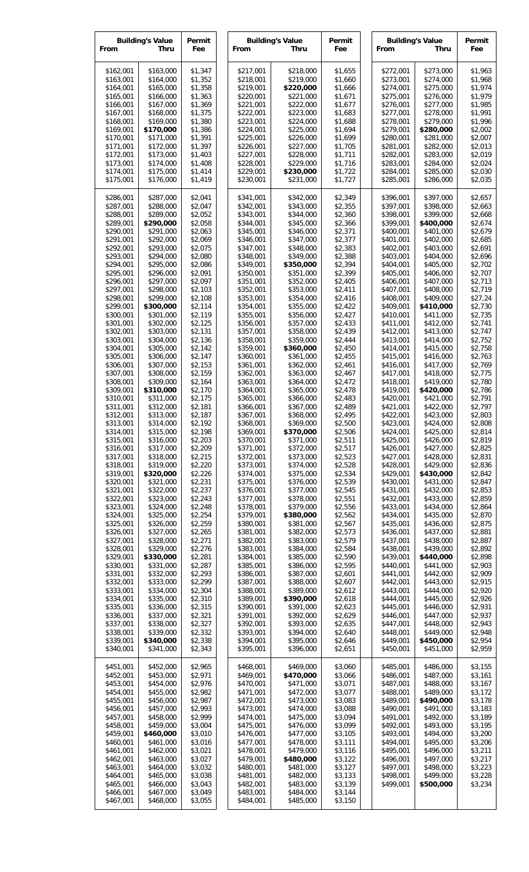| <b>Building's Value</b><br>From<br>Thru |                        | Permit<br>Fee      | <b>Building's Value</b><br>From | Permit<br>Fee          |                    | <b>Building's Value</b><br>From<br>Thru |                        | Permit<br>Fee          |                    |
|-----------------------------------------|------------------------|--------------------|---------------------------------|------------------------|--------------------|-----------------------------------------|------------------------|------------------------|--------------------|
| \$162,001<br>\$163,001                  | \$163,000<br>\$164,000 | \$1,347<br>\$1,352 | \$217,001<br>\$218,001          | \$218,000<br>\$219,000 | \$1,655<br>\$1,660 |                                         | \$272,001<br>\$273,001 | \$273,000<br>\$274,000 | \$1,963<br>\$1,968 |
| \$164,001                               | \$165,000              | \$1,358            | \$219,001                       | \$220,000              | \$1,666            |                                         | \$274,001              | \$275,000              | \$1,974            |
| \$165,001<br>\$166,001                  | \$166,000<br>\$167,000 | \$1,363<br>\$1,369 | \$220,001<br>\$221,001          | \$221,000<br>\$222,000 | \$1,671<br>\$1,677 |                                         | \$275,001<br>\$276,001 | \$276,000<br>\$277,000 | \$1,979<br>\$1,985 |
| \$167,001                               | \$168,000              | \$1,375            | \$222,001                       | \$223,000              | \$1,683            |                                         | \$277,001              | \$278,000              | \$1,991            |
| \$168,001                               | \$169,000              | \$1,380            | \$223,001                       | \$224,000              | \$1,688            |                                         | \$278,001              | \$279,000              | \$1,996            |
| \$169,001<br>\$170,001                  | \$170,000<br>\$171,000 | \$1,386<br>\$1,391 | \$224,001<br>\$225,001          | \$225,000<br>\$226,000 | \$1,694<br>\$1,699 |                                         | \$279,001<br>\$280,001 | \$280,000<br>\$281,000 | \$2,002<br>\$2,007 |
| \$171,001                               | \$172,000              | \$1,397            | \$226,001                       | \$227,000              | \$1,705            |                                         | \$281,001              | \$282,000              | \$2,013            |
| \$172,001                               | \$173,000              | \$1,403            | \$227,001                       | \$228,000              | \$1,711            |                                         | \$282,001              | \$283,000              | \$2,019            |
| \$173,001<br>\$174,001                  | \$174,000<br>\$175,000 | \$1,408<br>\$1,414 | \$228,001<br>\$229,001          | \$229,000<br>\$230,000 | \$1,716<br>\$1,722 |                                         | \$283,001<br>\$284,001 | \$284,000<br>\$285,000 | \$2,024<br>\$2,030 |
| \$175,001                               | \$176,000              | \$1,419            | \$230,001                       | \$231,000              | \$1,727            |                                         | \$285,001              | \$286,000              | \$2,035            |
| \$286,001                               | \$287,000              | \$2,041            | \$341,001                       | \$342,000              | \$2,349            |                                         | \$396,001              | \$397,000              | \$2,657            |
| \$287,001<br>\$288,001                  | \$288,000<br>\$289,000 | \$2,047<br>\$2,052 | \$342,001<br>\$343,001          | \$343,000<br>\$344,000 | \$2,355<br>\$2,360 |                                         | \$397,001<br>\$398,001 | \$398,000<br>\$399,000 | \$2,663<br>\$2,668 |
| \$289,001                               | \$290,000              | \$2,058            | \$344,001                       | \$345,000              | \$2,366            |                                         | \$399,001              | \$400,000              | \$2,674            |
| \$290,001                               | \$291,000              | \$2,063            | \$345,001                       | \$346,000              | \$2,371            |                                         | \$400,001              | \$401,000              | \$2,679            |
| \$291,001<br>\$292,001                  | \$292,000<br>\$293,000 | \$2,069<br>\$2,075 | \$346,001<br>\$347,001          | \$347,000<br>\$348,000 | \$2,377<br>\$2,383 |                                         | \$401,001<br>\$402,001 | \$402,000<br>\$403,000 | \$2,685<br>\$2,691 |
| \$293,001                               | \$294,000              | \$2,080            | \$348,001                       | \$349,000              | \$2,388            |                                         | \$403,001              | \$404,000              | \$2,696            |
| \$294,001                               | \$295,000              | \$2,086            | \$349,001                       | \$350,000              | \$2,394            |                                         | \$404,001              | \$405,000              | \$2,702            |
| \$295,001<br>\$296,001                  | \$296,000<br>\$297,000 | \$2,091<br>\$2,097 | \$350,001<br>\$351,001          | \$351,000<br>\$352,000 | \$2,399<br>\$2,405 |                                         | \$405,001<br>\$406,001 | \$406,000<br>\$407,000 | \$2,707<br>\$2,713 |
| \$297,001                               | \$298,000              | \$2,103            | \$352,001                       | \$353,000              | \$2,411            |                                         | \$407,001              | \$408,000              | \$2,719            |
| \$298,001                               | \$299,000              | \$2,108            | \$353,001                       | \$354,000              | \$2,416            |                                         | \$408,001              | \$409,000              | \$27,24            |
| \$299,001<br>\$300,001                  | \$300,000<br>\$301,000 | \$2,114<br>\$2,119 | \$354,001<br>\$355,001          | \$355,000<br>\$356,000 | \$2,422<br>\$2,427 |                                         | \$409,001<br>\$410,001 | \$410,000<br>\$411,000 | \$2,730<br>\$2,735 |
| \$301,001                               | \$302,000              | \$2,125            | \$356,001                       | \$357,000              | \$2,433            |                                         | \$411,001              | \$412,000              | \$2,741            |
| \$302,001                               | \$303,000              | \$2,131            | \$357,001                       | \$358,000              | \$2,439            |                                         | \$412,001              | \$413,000              | \$2,747            |
| \$303,001<br>\$304,001                  | \$304,000<br>\$305,000 | \$2,136<br>\$2,142 | \$358,001<br>\$359,001          | \$359,000<br>\$360,000 | \$2,444<br>\$2,450 |                                         | \$413,001<br>\$414,001 | \$414,000<br>\$415,000 | \$2,752<br>\$2,758 |
| \$305,001                               | \$306,000              | \$2,147            | \$360,001                       | \$361,000              | \$2,455            |                                         | \$415,001              | \$416,000              | \$2,763            |
| \$306,001                               | \$307,000              | \$2,153            | \$361,001                       | \$362,000              | \$2,461            |                                         | \$416,001              | \$417,000              | \$2,769            |
| \$307,001<br>\$308,001                  | \$308,000<br>\$309,000 | \$2,159<br>\$2,164 | \$362,001<br>\$363,001          | \$363,000<br>\$364,000 | \$2,467<br>\$2,472 |                                         | \$417,001<br>\$418,001 | \$418,000<br>\$419,000 | \$2,775<br>\$2,780 |
| \$309,001                               | \$310,000              | \$2,170            | \$364,001                       | \$365,000              | \$2,478            |                                         | \$419,001              | \$420,000              | \$2,786            |
| \$310,001                               | \$311,000              | \$2,175            | \$365,001                       | \$366,000              | \$2,483            |                                         | \$420,001              | \$421,000              | \$2,791            |
| \$311,001<br>\$312,001                  | \$312,000<br>\$313,000 | \$2,181<br>\$2,187 | \$366,001<br>\$367,001          | \$367,000<br>\$368,000 | \$2,489<br>\$2,495 |                                         | \$421,001<br>\$422,001 | \$422,000<br>\$423,000 | \$2,797<br>\$2,803 |
| \$313,001                               | \$314,000              | \$2,192            | \$368,001                       | \$369,000              | \$2,500            |                                         | \$423,001              | \$424,000              | \$2,808            |
| \$314,001                               | \$315,000              | \$2,198            | \$369,001                       | \$370,000              | \$2,506            |                                         | \$424,001              | \$425,000              | \$2,814            |
| \$315,001<br>\$316,001                  | \$316,000<br>\$317,000 | \$2,203<br>\$2,209 | \$370,001<br>\$371,001          | \$371,000<br>\$372,000 | \$2,511<br>\$2,517 |                                         | \$425,001<br>\$426,001 | \$426,000<br>\$427,000 | \$2,819<br>\$2,825 |
| \$317,001                               | \$318,000              | \$2,215            | \$372,001                       | \$373,000              | \$2,523            |                                         | \$427,001              | \$428,000              | \$2,831            |
| \$318,001                               | \$319,000              | \$2,220            | \$373,001                       | \$374,000              | \$2,528            |                                         | \$428,001              | \$429,000              | \$2,836            |
| \$319,001<br>\$320,001                  | \$320,000<br>\$321,000 | \$2,226<br>\$2,231 | \$374,001<br>\$375,001          | \$375,000<br>\$376,000 | \$2,534<br>\$2,539 |                                         | \$429,001<br>\$430,001 | \$430,000<br>\$431,000 | \$2,842<br>\$2,847 |
| \$321,001                               | \$322,000              | \$2,237            | \$376,001                       | \$377,000              | \$2,545            |                                         | \$431,001              | \$432,000              | \$2,853            |
| \$322,001                               | \$323,000              | \$2,243            | \$377,001                       | \$378,000              | \$2,551            |                                         | \$432,001              | \$433,000              | \$2,859            |
| \$323,001<br>\$324,001                  | \$324,000<br>\$325,000 | \$2,248<br>\$2,254 | \$378,001<br>\$379,001          | \$379,000<br>\$380,000 | \$2,556<br>\$2,562 |                                         | \$433,001<br>\$434,001 | \$434,000<br>\$435,000 | \$2,864<br>\$2,870 |
| \$325,001                               | \$326,000              | \$2,259            | \$380,001                       | \$381,000              | \$2,567            |                                         | \$435,001              | \$436,000              | \$2,875            |
| \$326,001                               | \$327,000              | \$2,265            | \$381,001                       | \$382,000              | \$2,573            |                                         | \$436,001              | \$437,000              | \$2,881            |
| \$327,001<br>\$328,001                  | \$328,000<br>\$329,000 | \$2,271<br>\$2,276 | \$382,001<br>\$383,001          | \$383,000<br>\$384,000 | \$2,579<br>\$2,584 |                                         | \$437,001<br>\$438,001 | \$438,000<br>\$439,000 | \$2,887<br>\$2,892 |
| \$329,001                               | \$330,000              | \$2,281            | \$384,001                       | \$385,000              | \$2,590            |                                         | \$439,001              | \$440,000              | \$2,898            |
| \$330,001                               | \$331,000              | \$2,287            | \$385,001                       | \$386,000              | \$2,595            |                                         | \$440,001              | \$441,000              | \$2,903            |
| \$331,001<br>\$332,001                  | \$332,000<br>\$333,000 | \$2,293<br>\$2,299 | \$386,001<br>\$387,001          | \$387,000<br>\$388,000 | \$2,601<br>\$2,607 |                                         | \$441,001<br>\$442,001 | \$442,000<br>\$443,000 | \$2,909<br>\$2,915 |
| \$333,001                               | \$334,000              | \$2,304            | \$388,001                       | \$389,000              | \$2,612            |                                         | \$443,001              | \$444,000              | \$2,920            |
| \$334,001                               | \$335,000              | \$2,310            | \$389,001                       | \$390,000              | \$2,618            |                                         | \$444,001              | \$445,000              | \$2,926            |
| \$335,001<br>\$336,001                  | \$336,000<br>\$337,000 | \$2,315<br>\$2,321 | \$390,001<br>\$391,001          | \$391,000<br>\$392,000 | \$2,623<br>\$2,629 |                                         | \$445,001<br>\$446,001 | \$446,000<br>\$447,000 | \$2,931<br>\$2,937 |
| \$337,001                               | \$338,000              | \$2,327            | \$392,001                       | \$393,000              | \$2,635            |                                         | \$447,001              | \$448,000              | \$2,943            |
| \$338,001                               | \$339,000              | \$2,332            | \$393,001                       | \$394,000              | \$2,640            |                                         | \$448,001              | \$449,000              | \$2,948            |
| \$339,001<br>\$340,001                  | \$340,000<br>\$341,000 | \$2,338<br>\$2,343 | \$394,001<br>\$395,001          | \$395,000<br>\$396,000 | \$2,646<br>\$2,651 |                                         | \$449,001<br>\$450,001 | \$450,000<br>\$451,000 | \$2,954<br>\$2,959 |
| \$451,001                               | \$452,000              | \$2,965            | \$468,001                       | \$469,000              | \$3,060            |                                         | \$485,001              | \$486,000              | \$3,155            |
| \$452,001                               | \$453,000              | \$2,971            | \$469,001                       | \$470,000              | \$3,066            |                                         | \$486,001              | \$487,000              | \$3,161            |
| \$453,001                               | \$454,000              | \$2,976            | \$470,001                       | \$471,000              | \$3,071            |                                         | \$487,001              | \$488,000              | \$3,167            |
| \$454,001<br>\$455,001                  | \$455,000<br>\$456,000 | \$2,982<br>\$2,987 | \$471,001<br>\$472,001          | \$472,000<br>\$473,000 | \$3,077<br>\$3,083 |                                         | \$488,001<br>\$489,001 | \$489,000<br>\$490,000 | \$3,172<br>\$3,178 |
| \$456,001                               | \$457,000              | \$2,993            | \$473,001                       | \$474,000              | \$3,088            |                                         | \$490,001              | \$491,000              | \$3,183            |
| \$457,001                               | \$458,000              | \$2,999            | \$474,001                       | \$475,000              | \$3,094            |                                         | \$491,001              | \$492,000              | \$3,189            |
| \$458,001<br>\$459,001                  | \$459,000<br>\$460,000 | \$3,004<br>\$3,010 | \$475,001<br>\$476,001          | \$476,000<br>\$477,000 | \$3,099<br>\$3,105 |                                         | \$492,001<br>\$493,001 | \$493,000<br>\$494,000 | \$3,195<br>\$3,200 |
| \$460,001                               | \$461,000              | \$3,016            | \$477,001                       | \$478,000              | \$3,111            |                                         | \$494,001              | \$495,000              | \$3,206            |
| \$461,001                               | \$462,000              | \$3,021            | \$478,001                       | \$479,000              | \$3,116            |                                         | \$495,001              | \$496,000              | \$3,211            |
| \$462,001<br>\$463,001                  | \$463,000<br>\$464,000 | \$3,027<br>\$3,032 | \$479,001<br>\$480,001          | \$480,000<br>\$481,000 | \$3,122<br>\$3,127 |                                         | \$496,001<br>\$497,001 | \$497,000<br>\$498,000 | \$3,217<br>\$3,223 |
| \$464,001                               | \$465,000              | \$3,038            | \$481,001                       | \$482,000              | \$3,133            |                                         | \$498,001              | \$499,000              | \$3,228            |
| \$465,001<br>\$466,001                  | \$466,000<br>\$467,000 | \$3,043<br>\$3,049 | \$482,001<br>\$483,001          | \$483,000<br>\$484,000 | \$3,139<br>\$3,144 |                                         | \$499,001              | \$500,000              | \$3,234            |
| \$467,001                               | \$468,000              | \$3,055            | \$484,001                       | \$485,000              | \$3,150            |                                         |                        |                        |                    |
|                                         |                        |                    |                                 |                        |                    |                                         |                        |                        |                    |